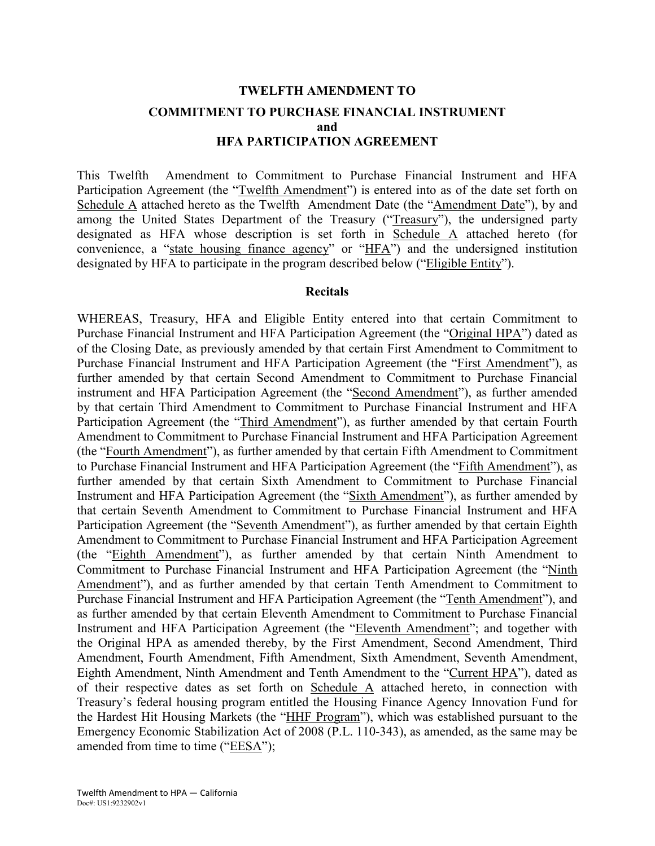# **TWELFTH AMENDMENT TO COMMITMENT TO PURCHASE FINANCIAL INSTRUMENT and HFA PARTICIPATION AGREEMENT**

This Twelfth Amendment to Commitment to Purchase Financial Instrument and HFA Participation Agreement (the "Twelfth Amendment") is entered into as of the date set forth on Schedule A attached hereto as the Twelfth Amendment Date (the "Amendment Date"), by and among the United States Department of the Treasury ("Treasury"), the undersigned party designated as HFA whose description is set forth in Schedule A attached hereto (for convenience, a "state housing finance agency" or "HFA") and the undersigned institution designated by HFA to participate in the program described below ("Eligible Entity").

#### **Recitals**

WHEREAS, Treasury, HFA and Eligible Entity entered into that certain Commitment to Purchase Financial Instrument and HFA Participation Agreement (the "Original HPA") dated as of the Closing Date, as previously amended by that certain First Amendment to Commitment to Purchase Financial Instrument and HFA Participation Agreement (the "First Amendment"), as further amended by that certain Second Amendment to Commitment to Purchase Financial instrument and HFA Participation Agreement (the "Second Amendment"), as further amended by that certain Third Amendment to Commitment to Purchase Financial Instrument and HFA Participation Agreement (the "Third Amendment"), as further amended by that certain Fourth Amendment to Commitment to Purchase Financial Instrument and HFA Participation Agreement (the "Fourth Amendment"), as further amended by that certain Fifth Amendment to Commitment to Purchase Financial Instrument and HFA Participation Agreement (the "Fifth Amendment"), as further amended by that certain Sixth Amendment to Commitment to Purchase Financial Instrument and HFA Participation Agreement (the "Sixth Amendment"), as further amended by that certain Seventh Amendment to Commitment to Purchase Financial Instrument and HFA Participation Agreement (the "Seventh Amendment"), as further amended by that certain Eighth Amendment to Commitment to Purchase Financial Instrument and HFA Participation Agreement (the "Eighth Amendment"), as further amended by that certain Ninth Amendment to Commitment to Purchase Financial Instrument and HFA Participation Agreement (the "Ninth Amendment"), and as further amended by that certain Tenth Amendment to Commitment to Purchase Financial Instrument and HFA Participation Agreement (the "Tenth Amendment"), and as further amended by that certain Eleventh Amendment to Commitment to Purchase Financial Instrument and HFA Participation Agreement (the "Eleventh Amendment"; and together with the Original HPA as amended thereby, by the First Amendment, Second Amendment, Third Amendment, Fourth Amendment, Fifth Amendment, Sixth Amendment, Seventh Amendment, Eighth Amendment, Ninth Amendment and Tenth Amendment to the "Current HPA"), dated as of their respective dates as set forth on Schedule A attached hereto, in connection with Treasury's federal housing program entitled the Housing Finance Agency Innovation Fund for the Hardest Hit Housing Markets (the "HHF Program"), which was established pursuant to the Emergency Economic Stabilization Act of 2008 (P.L. 110-343), as amended, as the same may be amended from time to time ("EESA");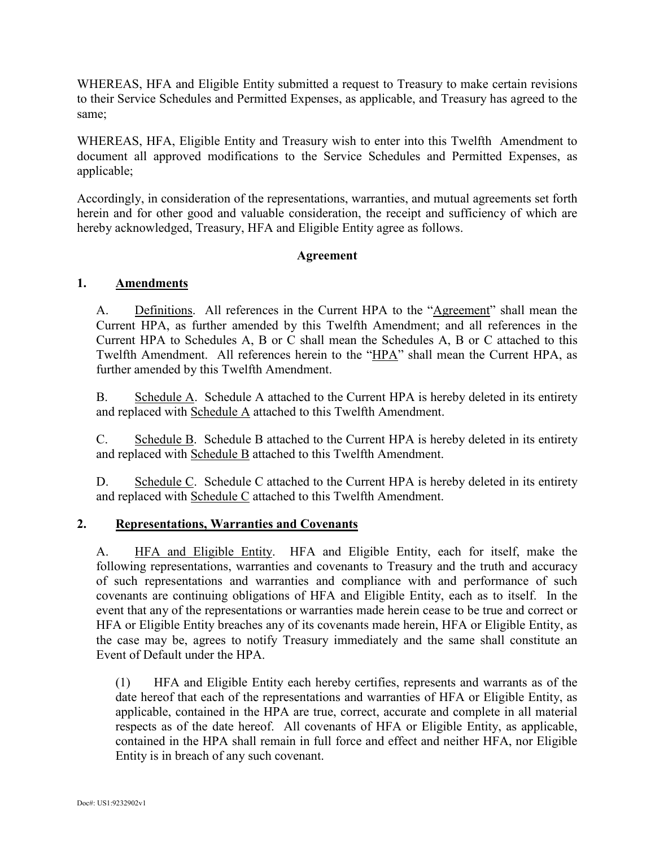WHEREAS, HFA and Eligible Entity submitted a request to Treasury to make certain revisions to their Service Schedules and Permitted Expenses, as applicable, and Treasury has agreed to the same;

WHEREAS, HFA, Eligible Entity and Treasury wish to enter into this Twelfth Amendment to document all approved modifications to the Service Schedules and Permitted Expenses, as applicable;

Accordingly, in consideration of the representations, warranties, and mutual agreements set forth herein and for other good and valuable consideration, the receipt and sufficiency of which are hereby acknowledged, Treasury, HFA and Eligible Entity agree as follows.

## **Agreement**

## **1. Amendments**

A. Definitions. All references in the Current HPA to the "Agreement" shall mean the Current HPA, as further amended by this Twelfth Amendment; and all references in the Current HPA to Schedules A, B or C shall mean the Schedules A, B or C attached to this Twelfth Amendment. All references herein to the "HPA" shall mean the Current HPA, as further amended by this Twelfth Amendment.

B. Schedule A. Schedule A attached to the Current HPA is hereby deleted in its entirety and replaced with Schedule A attached to this Twelfth Amendment.

C. Schedule B. Schedule B attached to the Current HPA is hereby deleted in its entirety and replaced with Schedule B attached to this Twelfth Amendment.

D. Schedule C. Schedule C attached to the Current HPA is hereby deleted in its entirety and replaced with Schedule C attached to this Twelfth Amendment.

## **2. Representations, Warranties and Covenants**

A. HFA and Eligible Entity. HFA and Eligible Entity, each for itself, make the following representations, warranties and covenants to Treasury and the truth and accuracy of such representations and warranties and compliance with and performance of such covenants are continuing obligations of HFA and Eligible Entity, each as to itself. In the event that any of the representations or warranties made herein cease to be true and correct or HFA or Eligible Entity breaches any of its covenants made herein, HFA or Eligible Entity, as the case may be, agrees to notify Treasury immediately and the same shall constitute an Event of Default under the HPA.

(1) HFA and Eligible Entity each hereby certifies, represents and warrants as of the date hereof that each of the representations and warranties of HFA or Eligible Entity, as applicable, contained in the HPA are true, correct, accurate and complete in all material respects as of the date hereof. All covenants of HFA or Eligible Entity, as applicable, contained in the HPA shall remain in full force and effect and neither HFA, nor Eligible Entity is in breach of any such covenant.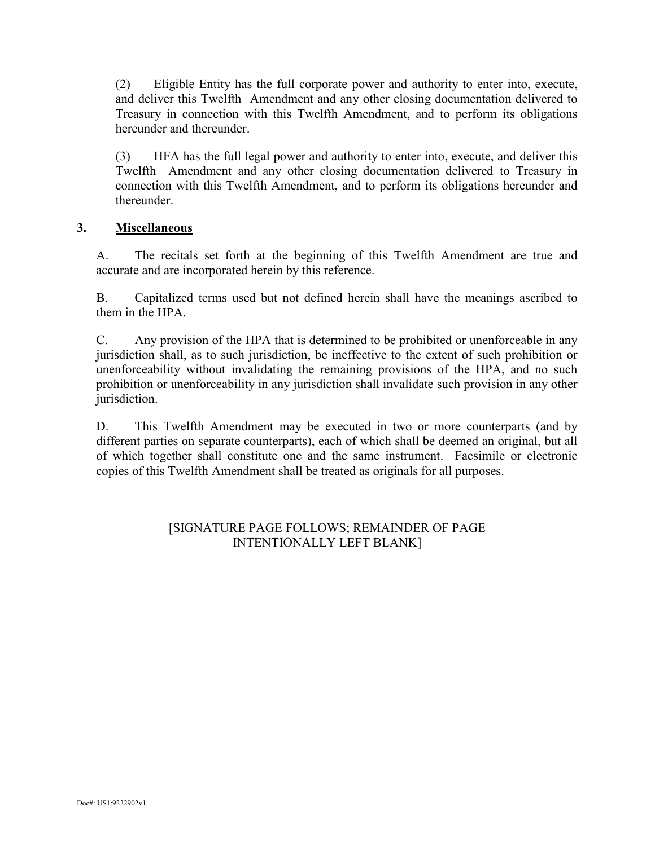(2) Eligible Entity has the full corporate power and authority to enter into, execute, and deliver this Twelfth Amendment and any other closing documentation delivered to Treasury in connection with this Twelfth Amendment, and to perform its obligations hereunder and thereunder.

(3) HFA has the full legal power and authority to enter into, execute, and deliver this Twelfth Amendment and any other closing documentation delivered to Treasury in connection with this Twelfth Amendment, and to perform its obligations hereunder and thereunder.

## **3. Miscellaneous**

A. The recitals set forth at the beginning of this Twelfth Amendment are true and accurate and are incorporated herein by this reference.

B. Capitalized terms used but not defined herein shall have the meanings ascribed to them in the HPA.

C. Any provision of the HPA that is determined to be prohibited or unenforceable in any jurisdiction shall, as to such jurisdiction, be ineffective to the extent of such prohibition or unenforceability without invalidating the remaining provisions of the HPA, and no such prohibition or unenforceability in any jurisdiction shall invalidate such provision in any other jurisdiction.

D. This Twelfth Amendment may be executed in two or more counterparts (and by different parties on separate counterparts), each of which shall be deemed an original, but all of which together shall constitute one and the same instrument. Facsimile or electronic copies of this Twelfth Amendment shall be treated as originals for all purposes.

## [SIGNATURE PAGE FOLLOWS; REMAINDER OF PAGE INTENTIONALLY LEFT BLANK]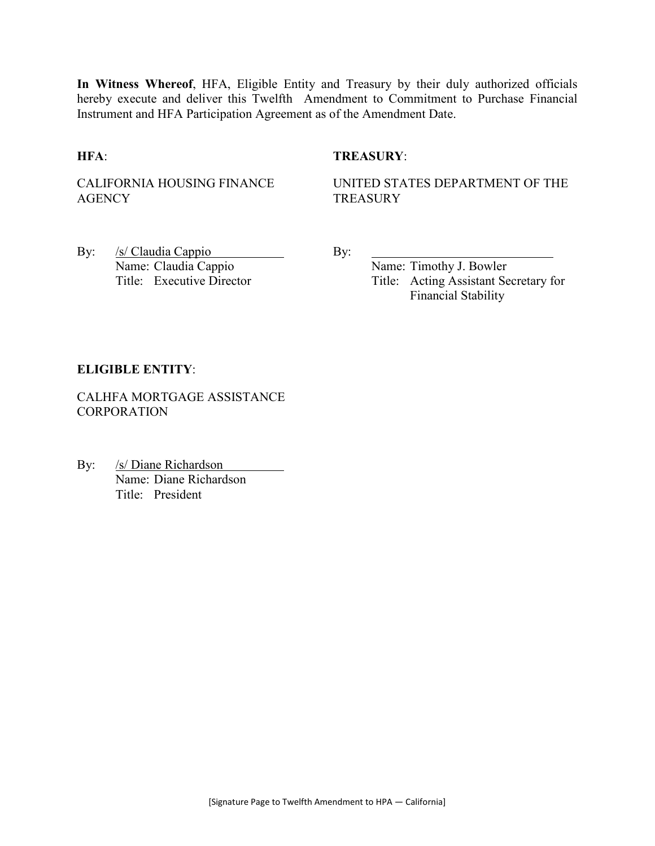**In Witness Whereof**, HFA, Eligible Entity and Treasury by their duly authorized officials hereby execute and deliver this Twelfth Amendment to Commitment to Purchase Financial Instrument and HFA Participation Agreement as of the Amendment Date.

## **HFA**: **TREASURY**:

CALIFORNIA HOUSING FINANCE **AGENCY** 

UNITED STATES DEPARTMENT OF THE **TREASURY** 

By: /s/ Claudia Cappio By: Name: Claudia Cappio Name: Timothy J. Bowler

Title: Executive Director Title: Acting Assistant Secretary for Financial Stability

#### **ELIGIBLE ENTITY**:

CALHFA MORTGAGE ASSISTANCE **CORPORATION** 

By: /s/ Diane Richardson Name: Diane Richardson Title: President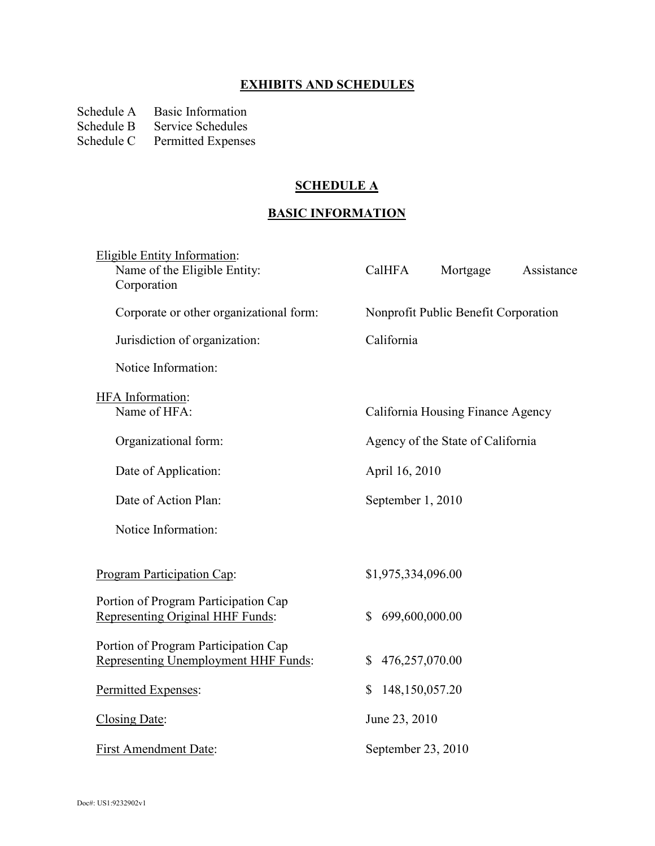# **EXHIBITS AND SCHEDULES**

Schedule A Basic Information<br>Schedule B Service Schedules

Schedule B Service Schedules<br>Schedule C Permitted Expense

Permitted Expenses

## **SCHEDULE A**

# **BASIC INFORMATION**

| <b>Eligible Entity Information:</b><br>Name of the Eligible Entity:<br>Corporation | CalHFA                         | Mortgage                             | Assistance |
|------------------------------------------------------------------------------------|--------------------------------|--------------------------------------|------------|
| Corporate or other organizational form:                                            |                                | Nonprofit Public Benefit Corporation |            |
| Jurisdiction of organization:                                                      | California                     |                                      |            |
| Notice Information:                                                                |                                |                                      |            |
| <b>HFA</b> Information:<br>Name of HFA:                                            |                                | California Housing Finance Agency    |            |
| Organizational form:                                                               |                                | Agency of the State of California    |            |
| Date of Application:                                                               | April 16, 2010                 |                                      |            |
| Date of Action Plan:                                                               | September 1, 2010              |                                      |            |
| Notice Information:                                                                |                                |                                      |            |
| Program Participation Cap:                                                         | \$1,975,334,096.00             |                                      |            |
| Portion of Program Participation Cap<br>Representing Original HHF Funds:           | 699,600,000.00<br>$\mathbb{S}$ |                                      |            |
| Portion of Program Participation Cap<br>Representing Unemployment HHF Funds:       | 476,257,070.00<br>\$           |                                      |            |
| Permitted Expenses:                                                                | 148,150,057.20<br>\$           |                                      |            |
| Closing Date:                                                                      | June 23, 2010                  |                                      |            |
| <b>First Amendment Date:</b>                                                       | September 23, 2010             |                                      |            |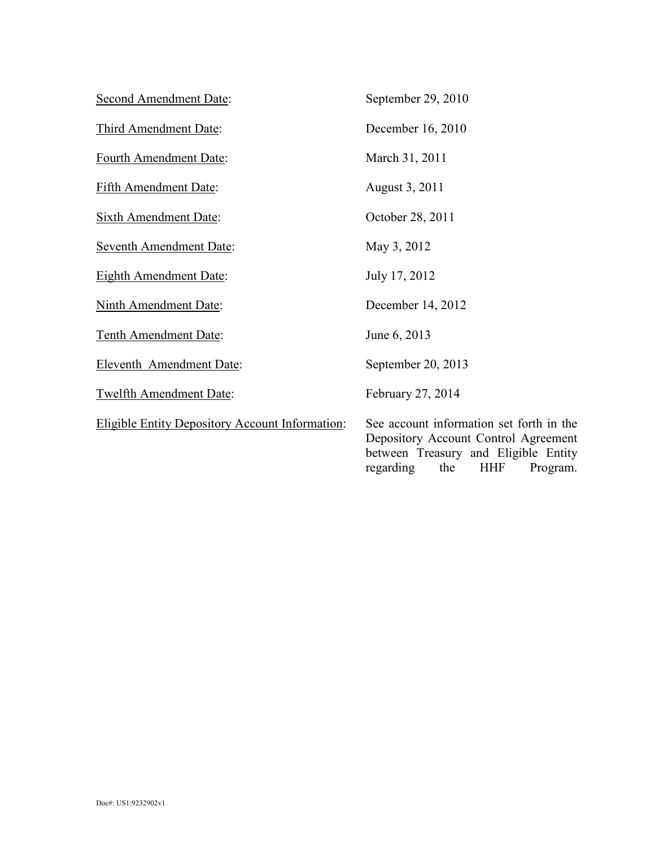| <b>Second Amendment Date:</b>                          | September 29, 2010                                                                                                                                                     |
|--------------------------------------------------------|------------------------------------------------------------------------------------------------------------------------------------------------------------------------|
| Third Amendment Date:                                  | December 16, 2010                                                                                                                                                      |
| Fourth Amendment Date:                                 | March 31, 2011                                                                                                                                                         |
| Fifth Amendment Date:                                  | August 3, 2011                                                                                                                                                         |
| <b>Sixth Amendment Date:</b>                           | October 28, 2011                                                                                                                                                       |
| <b>Seventh Amendment Date:</b>                         | May 3, 2012                                                                                                                                                            |
| <b>Eighth Amendment Date:</b>                          | July 17, 2012                                                                                                                                                          |
| <b>Ninth Amendment Date:</b>                           | December 14, 2012                                                                                                                                                      |
| Tenth Amendment Date:                                  | June 6, 2013                                                                                                                                                           |
| <b>Eleventh Amendment Date:</b>                        | September 20, 2013                                                                                                                                                     |
| <b>Twelfth Amendment Date:</b>                         | February 27, 2014                                                                                                                                                      |
| <b>Eligible Entity Depository Account Information:</b> | See account information set forth in the<br>Depository Account Control Agreement<br>between Treasury and Eligible Entity<br>regarding<br>the<br><b>HHF</b><br>Program. |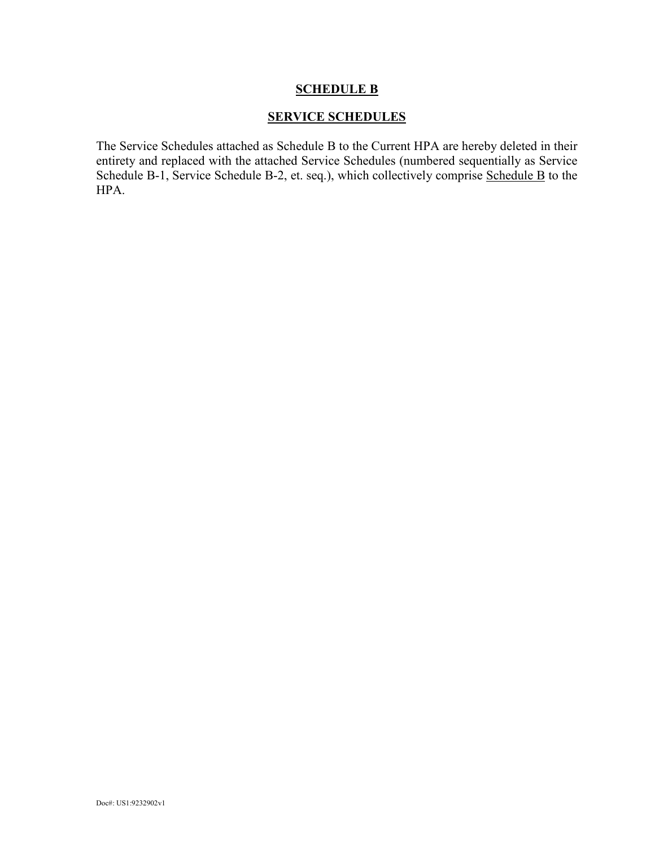## **SERVICE SCHEDULES**

The Service Schedules attached as Schedule B to the Current HPA are hereby deleted in their entirety and replaced with the attached Service Schedules (numbered sequentially as Service Schedule B-1, Service Schedule B-2, et. seq.), which collectively comprise Schedule B to the HPA.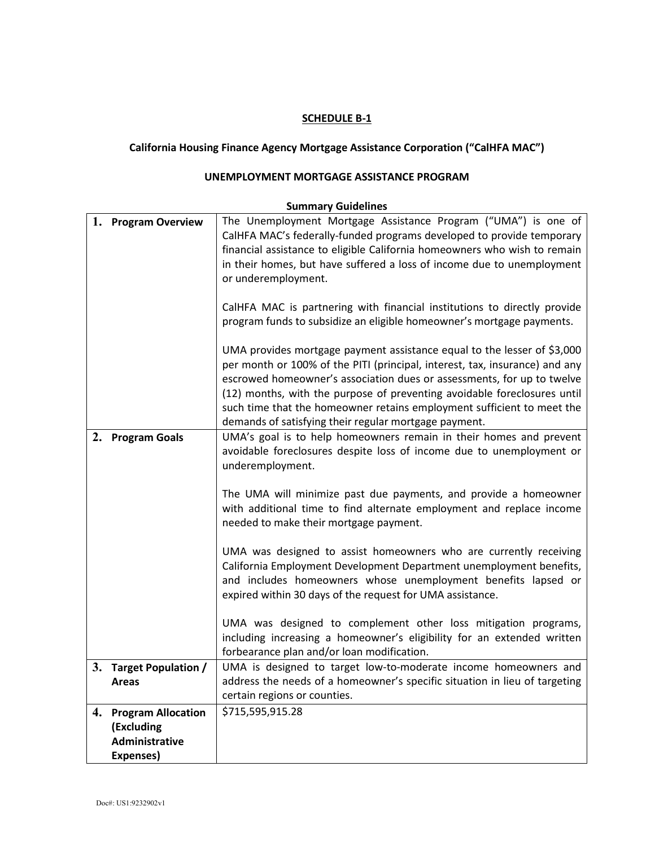## **California Housing Finance Agency Mortgage Assistance Corporation ("CalHFA MAC")**

## **UNEMPLOYMENT MORTGAGE ASSISTANCE PROGRAM**

|    | 1. Program Overview          | The Unemployment Mortgage Assistance Program ("UMA") is one of<br>CalHFA MAC's federally-funded programs developed to provide temporary<br>financial assistance to eligible California homeowners who wish to remain<br>in their homes, but have suffered a loss of income due to unemployment<br>or underemployment.<br>CalHFA MAC is partnering with financial institutions to directly provide<br>program funds to subsidize an eligible homeowner's mortgage payments.<br>UMA provides mortgage payment assistance equal to the lesser of \$3,000<br>per month or 100% of the PITI (principal, interest, tax, insurance) and any<br>escrowed homeowner's association dues or assessments, for up to twelve<br>(12) months, with the purpose of preventing avoidable foreclosures until<br>such time that the homeowner retains employment sufficient to meet the<br>demands of satisfying their regular mortgage payment. |
|----|------------------------------|-------------------------------------------------------------------------------------------------------------------------------------------------------------------------------------------------------------------------------------------------------------------------------------------------------------------------------------------------------------------------------------------------------------------------------------------------------------------------------------------------------------------------------------------------------------------------------------------------------------------------------------------------------------------------------------------------------------------------------------------------------------------------------------------------------------------------------------------------------------------------------------------------------------------------------|
| 2. | <b>Program Goals</b>         | UMA's goal is to help homeowners remain in their homes and prevent<br>avoidable foreclosures despite loss of income due to unemployment or<br>underemployment.<br>The UMA will minimize past due payments, and provide a homeowner<br>with additional time to find alternate employment and replace income<br>needed to make their mortgage payment.<br>UMA was designed to assist homeowners who are currently receiving<br>California Employment Development Department unemployment benefits,<br>and includes homeowners whose unemployment benefits lapsed or<br>expired within 30 days of the request for UMA assistance.<br>UMA was designed to complement other loss mitigation programs,<br>including increasing a homeowner's eligibility for an extended written<br>forbearance plan and/or loan modification.                                                                                                      |
|    | 3. Target Population /       | UMA is designed to target low-to-moderate income homeowners and                                                                                                                                                                                                                                                                                                                                                                                                                                                                                                                                                                                                                                                                                                                                                                                                                                                               |
|    | Areas                        | address the needs of a homeowner's specific situation in lieu of targeting                                                                                                                                                                                                                                                                                                                                                                                                                                                                                                                                                                                                                                                                                                                                                                                                                                                    |
|    |                              | certain regions or counties.                                                                                                                                                                                                                                                                                                                                                                                                                                                                                                                                                                                                                                                                                                                                                                                                                                                                                                  |
| 4. | <b>Program Allocation</b>    | \$715,595,915.28                                                                                                                                                                                                                                                                                                                                                                                                                                                                                                                                                                                                                                                                                                                                                                                                                                                                                                              |
|    | (Excluding<br>Administrative |                                                                                                                                                                                                                                                                                                                                                                                                                                                                                                                                                                                                                                                                                                                                                                                                                                                                                                                               |
|    | Expenses)                    |                                                                                                                                                                                                                                                                                                                                                                                                                                                                                                                                                                                                                                                                                                                                                                                                                                                                                                                               |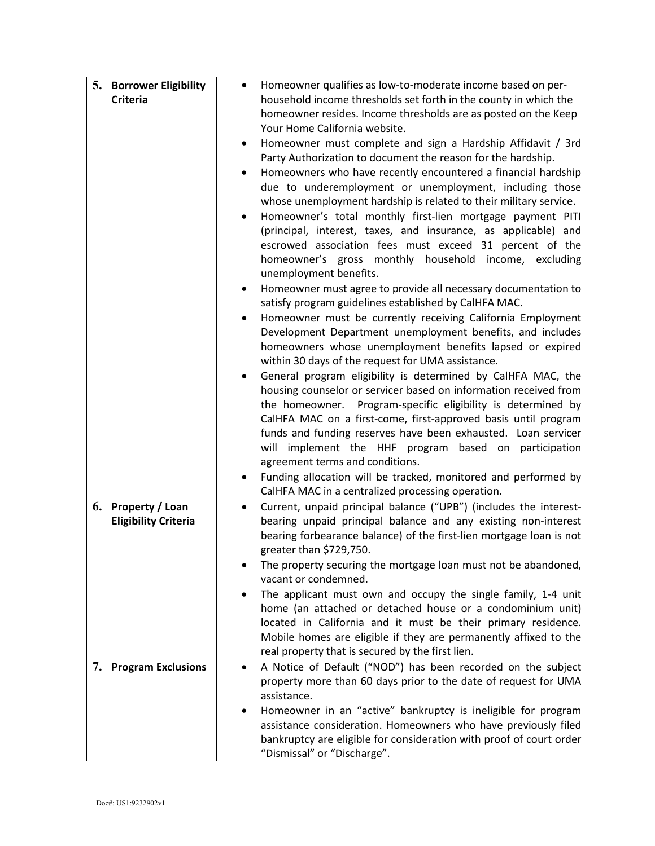| homeowner resides. Income thresholds are as posted on the Keep<br>Your Home California website.<br>Homeowner must complete and sign a Hardship Affidavit / 3rd<br>٠<br>Party Authorization to document the reason for the hardship.<br>Homeowners who have recently encountered a financial hardship<br>$\bullet$<br>due to underemployment or unemployment, including those<br>whose unemployment hardship is related to their military service.<br>Homeowner's total monthly first-lien mortgage payment PITI<br>$\bullet$<br>(principal, interest, taxes, and insurance, as applicable) and<br>escrowed association fees must exceed 31 percent of the<br>homeowner's gross monthly household income, excluding<br>unemployment benefits.<br>Homeowner must agree to provide all necessary documentation to<br>satisfy program guidelines established by CalHFA MAC.<br>Homeowner must be currently receiving California Employment<br>$\bullet$<br>Development Department unemployment benefits, and includes<br>homeowners whose unemployment benefits lapsed or expired<br>within 30 days of the request for UMA assistance.<br>General program eligibility is determined by CalHFA MAC, the<br>$\bullet$<br>housing counselor or servicer based on information received from<br>the homeowner. Program-specific eligibility is determined by<br>CalHFA MAC on a first-come, first-approved basis until program<br>funds and funding reserves have been exhausted. Loan servicer<br>will implement the HHF program based on participation<br>agreement terms and conditions.<br>Funding allocation will be tracked, monitored and performed by<br>CalHFA MAC in a centralized processing operation.<br>Current, unpaid principal balance ("UPB") (includes the interest-<br>6. Property / Loan<br>$\bullet$<br>bearing unpaid principal balance and any existing non-interest<br><b>Eligibility Criteria</b><br>bearing forbearance balance) of the first-lien mortgage loan is not<br>greater than \$729,750.<br>The property securing the mortgage loan must not be abandoned,<br>vacant or condemned.<br>The applicant must own and occupy the single family, 1-4 unit<br>home (an attached or detached house or a condominium unit)<br>located in California and it must be their primary residence.<br>Mobile homes are eligible if they are permanently affixed to the<br>real property that is secured by the first lien.<br><b>Program Exclusions</b><br>7.<br>A Notice of Default ("NOD") has been recorded on the subject<br>$\bullet$<br>property more than 60 days prior to the date of request for UMA<br>assistance.<br>Homeowner in an "active" bankruptcy is ineligible for program<br>assistance consideration. Homeowners who have previously filed<br>bankruptcy are eligible for consideration with proof of court order | 5. | <b>Borrower Eligibility</b> | Homeowner qualifies as low-to-moderate income based on per-<br>$\bullet$ |
|----------------------------------------------------------------------------------------------------------------------------------------------------------------------------------------------------------------------------------------------------------------------------------------------------------------------------------------------------------------------------------------------------------------------------------------------------------------------------------------------------------------------------------------------------------------------------------------------------------------------------------------------------------------------------------------------------------------------------------------------------------------------------------------------------------------------------------------------------------------------------------------------------------------------------------------------------------------------------------------------------------------------------------------------------------------------------------------------------------------------------------------------------------------------------------------------------------------------------------------------------------------------------------------------------------------------------------------------------------------------------------------------------------------------------------------------------------------------------------------------------------------------------------------------------------------------------------------------------------------------------------------------------------------------------------------------------------------------------------------------------------------------------------------------------------------------------------------------------------------------------------------------------------------------------------------------------------------------------------------------------------------------------------------------------------------------------------------------------------------------------------------------------------------------------------------------------------------------------------------------------------------------------------------------------------------------------------------------------------------------------------------------------------------------------------------------------------------------------------------------------------------------------------------------------------------------------------------------------------------------------------------------------------------------------------------------------------------------------------------------------------------------------------------------------------------------------------------------------|----|-----------------------------|--------------------------------------------------------------------------|
|                                                                                                                                                                                                                                                                                                                                                                                                                                                                                                                                                                                                                                                                                                                                                                                                                                                                                                                                                                                                                                                                                                                                                                                                                                                                                                                                                                                                                                                                                                                                                                                                                                                                                                                                                                                                                                                                                                                                                                                                                                                                                                                                                                                                                                                                                                                                                                                                                                                                                                                                                                                                                                                                                                                                                                                                                                                    |    | <b>Criteria</b>             | household income thresholds set forth in the county in which the         |
|                                                                                                                                                                                                                                                                                                                                                                                                                                                                                                                                                                                                                                                                                                                                                                                                                                                                                                                                                                                                                                                                                                                                                                                                                                                                                                                                                                                                                                                                                                                                                                                                                                                                                                                                                                                                                                                                                                                                                                                                                                                                                                                                                                                                                                                                                                                                                                                                                                                                                                                                                                                                                                                                                                                                                                                                                                                    |    |                             |                                                                          |
|                                                                                                                                                                                                                                                                                                                                                                                                                                                                                                                                                                                                                                                                                                                                                                                                                                                                                                                                                                                                                                                                                                                                                                                                                                                                                                                                                                                                                                                                                                                                                                                                                                                                                                                                                                                                                                                                                                                                                                                                                                                                                                                                                                                                                                                                                                                                                                                                                                                                                                                                                                                                                                                                                                                                                                                                                                                    |    |                             |                                                                          |
|                                                                                                                                                                                                                                                                                                                                                                                                                                                                                                                                                                                                                                                                                                                                                                                                                                                                                                                                                                                                                                                                                                                                                                                                                                                                                                                                                                                                                                                                                                                                                                                                                                                                                                                                                                                                                                                                                                                                                                                                                                                                                                                                                                                                                                                                                                                                                                                                                                                                                                                                                                                                                                                                                                                                                                                                                                                    |    |                             |                                                                          |
|                                                                                                                                                                                                                                                                                                                                                                                                                                                                                                                                                                                                                                                                                                                                                                                                                                                                                                                                                                                                                                                                                                                                                                                                                                                                                                                                                                                                                                                                                                                                                                                                                                                                                                                                                                                                                                                                                                                                                                                                                                                                                                                                                                                                                                                                                                                                                                                                                                                                                                                                                                                                                                                                                                                                                                                                                                                    |    |                             |                                                                          |
|                                                                                                                                                                                                                                                                                                                                                                                                                                                                                                                                                                                                                                                                                                                                                                                                                                                                                                                                                                                                                                                                                                                                                                                                                                                                                                                                                                                                                                                                                                                                                                                                                                                                                                                                                                                                                                                                                                                                                                                                                                                                                                                                                                                                                                                                                                                                                                                                                                                                                                                                                                                                                                                                                                                                                                                                                                                    |    |                             |                                                                          |
|                                                                                                                                                                                                                                                                                                                                                                                                                                                                                                                                                                                                                                                                                                                                                                                                                                                                                                                                                                                                                                                                                                                                                                                                                                                                                                                                                                                                                                                                                                                                                                                                                                                                                                                                                                                                                                                                                                                                                                                                                                                                                                                                                                                                                                                                                                                                                                                                                                                                                                                                                                                                                                                                                                                                                                                                                                                    |    |                             |                                                                          |
|                                                                                                                                                                                                                                                                                                                                                                                                                                                                                                                                                                                                                                                                                                                                                                                                                                                                                                                                                                                                                                                                                                                                                                                                                                                                                                                                                                                                                                                                                                                                                                                                                                                                                                                                                                                                                                                                                                                                                                                                                                                                                                                                                                                                                                                                                                                                                                                                                                                                                                                                                                                                                                                                                                                                                                                                                                                    |    |                             |                                                                          |
|                                                                                                                                                                                                                                                                                                                                                                                                                                                                                                                                                                                                                                                                                                                                                                                                                                                                                                                                                                                                                                                                                                                                                                                                                                                                                                                                                                                                                                                                                                                                                                                                                                                                                                                                                                                                                                                                                                                                                                                                                                                                                                                                                                                                                                                                                                                                                                                                                                                                                                                                                                                                                                                                                                                                                                                                                                                    |    |                             |                                                                          |
|                                                                                                                                                                                                                                                                                                                                                                                                                                                                                                                                                                                                                                                                                                                                                                                                                                                                                                                                                                                                                                                                                                                                                                                                                                                                                                                                                                                                                                                                                                                                                                                                                                                                                                                                                                                                                                                                                                                                                                                                                                                                                                                                                                                                                                                                                                                                                                                                                                                                                                                                                                                                                                                                                                                                                                                                                                                    |    |                             |                                                                          |
|                                                                                                                                                                                                                                                                                                                                                                                                                                                                                                                                                                                                                                                                                                                                                                                                                                                                                                                                                                                                                                                                                                                                                                                                                                                                                                                                                                                                                                                                                                                                                                                                                                                                                                                                                                                                                                                                                                                                                                                                                                                                                                                                                                                                                                                                                                                                                                                                                                                                                                                                                                                                                                                                                                                                                                                                                                                    |    |                             |                                                                          |
|                                                                                                                                                                                                                                                                                                                                                                                                                                                                                                                                                                                                                                                                                                                                                                                                                                                                                                                                                                                                                                                                                                                                                                                                                                                                                                                                                                                                                                                                                                                                                                                                                                                                                                                                                                                                                                                                                                                                                                                                                                                                                                                                                                                                                                                                                                                                                                                                                                                                                                                                                                                                                                                                                                                                                                                                                                                    |    |                             |                                                                          |
|                                                                                                                                                                                                                                                                                                                                                                                                                                                                                                                                                                                                                                                                                                                                                                                                                                                                                                                                                                                                                                                                                                                                                                                                                                                                                                                                                                                                                                                                                                                                                                                                                                                                                                                                                                                                                                                                                                                                                                                                                                                                                                                                                                                                                                                                                                                                                                                                                                                                                                                                                                                                                                                                                                                                                                                                                                                    |    |                             |                                                                          |
|                                                                                                                                                                                                                                                                                                                                                                                                                                                                                                                                                                                                                                                                                                                                                                                                                                                                                                                                                                                                                                                                                                                                                                                                                                                                                                                                                                                                                                                                                                                                                                                                                                                                                                                                                                                                                                                                                                                                                                                                                                                                                                                                                                                                                                                                                                                                                                                                                                                                                                                                                                                                                                                                                                                                                                                                                                                    |    |                             |                                                                          |
|                                                                                                                                                                                                                                                                                                                                                                                                                                                                                                                                                                                                                                                                                                                                                                                                                                                                                                                                                                                                                                                                                                                                                                                                                                                                                                                                                                                                                                                                                                                                                                                                                                                                                                                                                                                                                                                                                                                                                                                                                                                                                                                                                                                                                                                                                                                                                                                                                                                                                                                                                                                                                                                                                                                                                                                                                                                    |    |                             |                                                                          |
|                                                                                                                                                                                                                                                                                                                                                                                                                                                                                                                                                                                                                                                                                                                                                                                                                                                                                                                                                                                                                                                                                                                                                                                                                                                                                                                                                                                                                                                                                                                                                                                                                                                                                                                                                                                                                                                                                                                                                                                                                                                                                                                                                                                                                                                                                                                                                                                                                                                                                                                                                                                                                                                                                                                                                                                                                                                    |    |                             |                                                                          |
|                                                                                                                                                                                                                                                                                                                                                                                                                                                                                                                                                                                                                                                                                                                                                                                                                                                                                                                                                                                                                                                                                                                                                                                                                                                                                                                                                                                                                                                                                                                                                                                                                                                                                                                                                                                                                                                                                                                                                                                                                                                                                                                                                                                                                                                                                                                                                                                                                                                                                                                                                                                                                                                                                                                                                                                                                                                    |    |                             |                                                                          |
|                                                                                                                                                                                                                                                                                                                                                                                                                                                                                                                                                                                                                                                                                                                                                                                                                                                                                                                                                                                                                                                                                                                                                                                                                                                                                                                                                                                                                                                                                                                                                                                                                                                                                                                                                                                                                                                                                                                                                                                                                                                                                                                                                                                                                                                                                                                                                                                                                                                                                                                                                                                                                                                                                                                                                                                                                                                    |    |                             |                                                                          |
|                                                                                                                                                                                                                                                                                                                                                                                                                                                                                                                                                                                                                                                                                                                                                                                                                                                                                                                                                                                                                                                                                                                                                                                                                                                                                                                                                                                                                                                                                                                                                                                                                                                                                                                                                                                                                                                                                                                                                                                                                                                                                                                                                                                                                                                                                                                                                                                                                                                                                                                                                                                                                                                                                                                                                                                                                                                    |    |                             |                                                                          |
|                                                                                                                                                                                                                                                                                                                                                                                                                                                                                                                                                                                                                                                                                                                                                                                                                                                                                                                                                                                                                                                                                                                                                                                                                                                                                                                                                                                                                                                                                                                                                                                                                                                                                                                                                                                                                                                                                                                                                                                                                                                                                                                                                                                                                                                                                                                                                                                                                                                                                                                                                                                                                                                                                                                                                                                                                                                    |    |                             |                                                                          |
|                                                                                                                                                                                                                                                                                                                                                                                                                                                                                                                                                                                                                                                                                                                                                                                                                                                                                                                                                                                                                                                                                                                                                                                                                                                                                                                                                                                                                                                                                                                                                                                                                                                                                                                                                                                                                                                                                                                                                                                                                                                                                                                                                                                                                                                                                                                                                                                                                                                                                                                                                                                                                                                                                                                                                                                                                                                    |    |                             |                                                                          |
|                                                                                                                                                                                                                                                                                                                                                                                                                                                                                                                                                                                                                                                                                                                                                                                                                                                                                                                                                                                                                                                                                                                                                                                                                                                                                                                                                                                                                                                                                                                                                                                                                                                                                                                                                                                                                                                                                                                                                                                                                                                                                                                                                                                                                                                                                                                                                                                                                                                                                                                                                                                                                                                                                                                                                                                                                                                    |    |                             |                                                                          |
|                                                                                                                                                                                                                                                                                                                                                                                                                                                                                                                                                                                                                                                                                                                                                                                                                                                                                                                                                                                                                                                                                                                                                                                                                                                                                                                                                                                                                                                                                                                                                                                                                                                                                                                                                                                                                                                                                                                                                                                                                                                                                                                                                                                                                                                                                                                                                                                                                                                                                                                                                                                                                                                                                                                                                                                                                                                    |    |                             |                                                                          |
|                                                                                                                                                                                                                                                                                                                                                                                                                                                                                                                                                                                                                                                                                                                                                                                                                                                                                                                                                                                                                                                                                                                                                                                                                                                                                                                                                                                                                                                                                                                                                                                                                                                                                                                                                                                                                                                                                                                                                                                                                                                                                                                                                                                                                                                                                                                                                                                                                                                                                                                                                                                                                                                                                                                                                                                                                                                    |    |                             |                                                                          |
|                                                                                                                                                                                                                                                                                                                                                                                                                                                                                                                                                                                                                                                                                                                                                                                                                                                                                                                                                                                                                                                                                                                                                                                                                                                                                                                                                                                                                                                                                                                                                                                                                                                                                                                                                                                                                                                                                                                                                                                                                                                                                                                                                                                                                                                                                                                                                                                                                                                                                                                                                                                                                                                                                                                                                                                                                                                    |    |                             |                                                                          |
|                                                                                                                                                                                                                                                                                                                                                                                                                                                                                                                                                                                                                                                                                                                                                                                                                                                                                                                                                                                                                                                                                                                                                                                                                                                                                                                                                                                                                                                                                                                                                                                                                                                                                                                                                                                                                                                                                                                                                                                                                                                                                                                                                                                                                                                                                                                                                                                                                                                                                                                                                                                                                                                                                                                                                                                                                                                    |    |                             |                                                                          |
|                                                                                                                                                                                                                                                                                                                                                                                                                                                                                                                                                                                                                                                                                                                                                                                                                                                                                                                                                                                                                                                                                                                                                                                                                                                                                                                                                                                                                                                                                                                                                                                                                                                                                                                                                                                                                                                                                                                                                                                                                                                                                                                                                                                                                                                                                                                                                                                                                                                                                                                                                                                                                                                                                                                                                                                                                                                    |    |                             |                                                                          |
|                                                                                                                                                                                                                                                                                                                                                                                                                                                                                                                                                                                                                                                                                                                                                                                                                                                                                                                                                                                                                                                                                                                                                                                                                                                                                                                                                                                                                                                                                                                                                                                                                                                                                                                                                                                                                                                                                                                                                                                                                                                                                                                                                                                                                                                                                                                                                                                                                                                                                                                                                                                                                                                                                                                                                                                                                                                    |    |                             |                                                                          |
|                                                                                                                                                                                                                                                                                                                                                                                                                                                                                                                                                                                                                                                                                                                                                                                                                                                                                                                                                                                                                                                                                                                                                                                                                                                                                                                                                                                                                                                                                                                                                                                                                                                                                                                                                                                                                                                                                                                                                                                                                                                                                                                                                                                                                                                                                                                                                                                                                                                                                                                                                                                                                                                                                                                                                                                                                                                    |    |                             |                                                                          |
|                                                                                                                                                                                                                                                                                                                                                                                                                                                                                                                                                                                                                                                                                                                                                                                                                                                                                                                                                                                                                                                                                                                                                                                                                                                                                                                                                                                                                                                                                                                                                                                                                                                                                                                                                                                                                                                                                                                                                                                                                                                                                                                                                                                                                                                                                                                                                                                                                                                                                                                                                                                                                                                                                                                                                                                                                                                    |    |                             |                                                                          |
|                                                                                                                                                                                                                                                                                                                                                                                                                                                                                                                                                                                                                                                                                                                                                                                                                                                                                                                                                                                                                                                                                                                                                                                                                                                                                                                                                                                                                                                                                                                                                                                                                                                                                                                                                                                                                                                                                                                                                                                                                                                                                                                                                                                                                                                                                                                                                                                                                                                                                                                                                                                                                                                                                                                                                                                                                                                    |    |                             |                                                                          |
|                                                                                                                                                                                                                                                                                                                                                                                                                                                                                                                                                                                                                                                                                                                                                                                                                                                                                                                                                                                                                                                                                                                                                                                                                                                                                                                                                                                                                                                                                                                                                                                                                                                                                                                                                                                                                                                                                                                                                                                                                                                                                                                                                                                                                                                                                                                                                                                                                                                                                                                                                                                                                                                                                                                                                                                                                                                    |    |                             |                                                                          |
|                                                                                                                                                                                                                                                                                                                                                                                                                                                                                                                                                                                                                                                                                                                                                                                                                                                                                                                                                                                                                                                                                                                                                                                                                                                                                                                                                                                                                                                                                                                                                                                                                                                                                                                                                                                                                                                                                                                                                                                                                                                                                                                                                                                                                                                                                                                                                                                                                                                                                                                                                                                                                                                                                                                                                                                                                                                    |    |                             |                                                                          |
|                                                                                                                                                                                                                                                                                                                                                                                                                                                                                                                                                                                                                                                                                                                                                                                                                                                                                                                                                                                                                                                                                                                                                                                                                                                                                                                                                                                                                                                                                                                                                                                                                                                                                                                                                                                                                                                                                                                                                                                                                                                                                                                                                                                                                                                                                                                                                                                                                                                                                                                                                                                                                                                                                                                                                                                                                                                    |    |                             |                                                                          |
|                                                                                                                                                                                                                                                                                                                                                                                                                                                                                                                                                                                                                                                                                                                                                                                                                                                                                                                                                                                                                                                                                                                                                                                                                                                                                                                                                                                                                                                                                                                                                                                                                                                                                                                                                                                                                                                                                                                                                                                                                                                                                                                                                                                                                                                                                                                                                                                                                                                                                                                                                                                                                                                                                                                                                                                                                                                    |    |                             |                                                                          |
|                                                                                                                                                                                                                                                                                                                                                                                                                                                                                                                                                                                                                                                                                                                                                                                                                                                                                                                                                                                                                                                                                                                                                                                                                                                                                                                                                                                                                                                                                                                                                                                                                                                                                                                                                                                                                                                                                                                                                                                                                                                                                                                                                                                                                                                                                                                                                                                                                                                                                                                                                                                                                                                                                                                                                                                                                                                    |    |                             |                                                                          |
|                                                                                                                                                                                                                                                                                                                                                                                                                                                                                                                                                                                                                                                                                                                                                                                                                                                                                                                                                                                                                                                                                                                                                                                                                                                                                                                                                                                                                                                                                                                                                                                                                                                                                                                                                                                                                                                                                                                                                                                                                                                                                                                                                                                                                                                                                                                                                                                                                                                                                                                                                                                                                                                                                                                                                                                                                                                    |    |                             |                                                                          |
|                                                                                                                                                                                                                                                                                                                                                                                                                                                                                                                                                                                                                                                                                                                                                                                                                                                                                                                                                                                                                                                                                                                                                                                                                                                                                                                                                                                                                                                                                                                                                                                                                                                                                                                                                                                                                                                                                                                                                                                                                                                                                                                                                                                                                                                                                                                                                                                                                                                                                                                                                                                                                                                                                                                                                                                                                                                    |    |                             |                                                                          |
|                                                                                                                                                                                                                                                                                                                                                                                                                                                                                                                                                                                                                                                                                                                                                                                                                                                                                                                                                                                                                                                                                                                                                                                                                                                                                                                                                                                                                                                                                                                                                                                                                                                                                                                                                                                                                                                                                                                                                                                                                                                                                                                                                                                                                                                                                                                                                                                                                                                                                                                                                                                                                                                                                                                                                                                                                                                    |    |                             |                                                                          |
|                                                                                                                                                                                                                                                                                                                                                                                                                                                                                                                                                                                                                                                                                                                                                                                                                                                                                                                                                                                                                                                                                                                                                                                                                                                                                                                                                                                                                                                                                                                                                                                                                                                                                                                                                                                                                                                                                                                                                                                                                                                                                                                                                                                                                                                                                                                                                                                                                                                                                                                                                                                                                                                                                                                                                                                                                                                    |    |                             | "Dismissal" or "Discharge".                                              |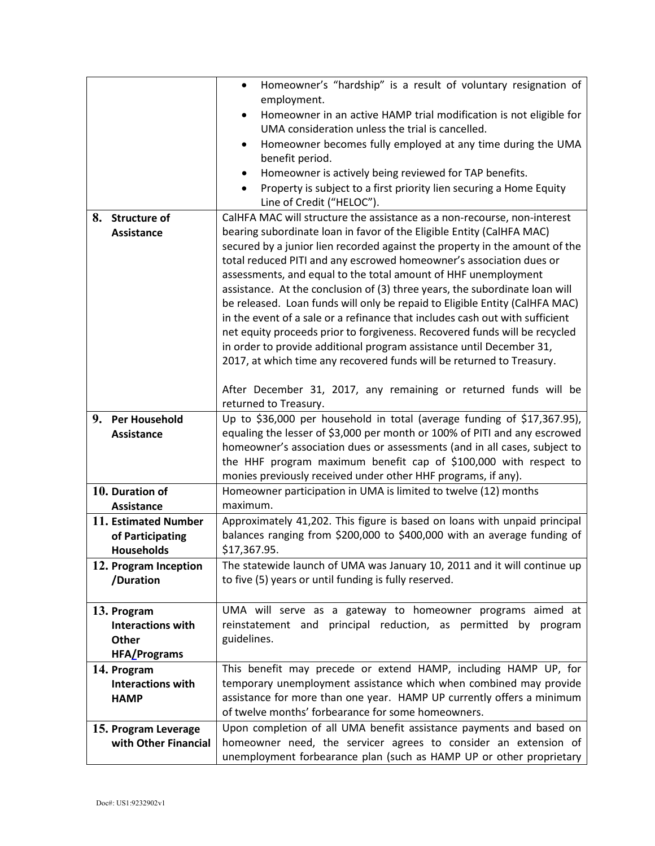|                            | Homeowner's "hardship" is a result of voluntary resignation of<br>$\bullet$  |
|----------------------------|------------------------------------------------------------------------------|
|                            | employment.                                                                  |
|                            | Homeowner in an active HAMP trial modification is not eligible for           |
|                            | UMA consideration unless the trial is cancelled.                             |
|                            | Homeowner becomes fully employed at any time during the UMA<br>$\bullet$     |
|                            | benefit period.                                                              |
|                            | Homeowner is actively being reviewed for TAP benefits.<br>٠                  |
|                            | Property is subject to a first priority lien securing a Home Equity          |
|                            | Line of Credit ("HELOC").                                                    |
| 8.<br><b>Structure of</b>  | CalHFA MAC will structure the assistance as a non-recourse, non-interest     |
| <b>Assistance</b>          | bearing subordinate loan in favor of the Eligible Entity (CalHFA MAC)        |
|                            | secured by a junior lien recorded against the property in the amount of the  |
|                            | total reduced PITI and any escrowed homeowner's association dues or          |
|                            | assessments, and equal to the total amount of HHF unemployment               |
|                            | assistance. At the conclusion of (3) three years, the subordinate loan will  |
|                            | be released. Loan funds will only be repaid to Eligible Entity (CalHFA MAC)  |
|                            | in the event of a sale or a refinance that includes cash out with sufficient |
|                            | net equity proceeds prior to forgiveness. Recovered funds will be recycled   |
|                            | in order to provide additional program assistance until December 31,         |
|                            | 2017, at which time any recovered funds will be returned to Treasury.        |
|                            | After December 31, 2017, any remaining or returned funds will be             |
|                            | returned to Treasury.                                                        |
| 9.<br><b>Per Household</b> | Up to \$36,000 per household in total (average funding of \$17,367.95),      |
| Assistance                 | equaling the lesser of \$3,000 per month or 100% of PITI and any escrowed    |
|                            | homeowner's association dues or assessments (and in all cases, subject to    |
|                            | the HHF program maximum benefit cap of \$100,000 with respect to             |
|                            | monies previously received under other HHF programs, if any).                |
| 10. Duration of            | Homeowner participation in UMA is limited to twelve (12) months              |
| <b>Assistance</b>          | maximum.                                                                     |
| 11. Estimated Number       | Approximately 41,202. This figure is based on loans with unpaid principal    |
| of Participating           | balances ranging from \$200,000 to \$400,000 with an average funding of      |
| <b>Households</b>          | \$17,367.95.                                                                 |
| 12. Program Inception      | The statewide launch of UMA was January 10, 2011 and it will continue up     |
| /Duration                  | to five (5) years or until funding is fully reserved.                        |
|                            |                                                                              |
| 13. Program                | UMA will serve as a gateway to homeowner programs aimed at                   |
| <b>Interactions with</b>   | reinstatement and principal reduction, as permitted by program               |
| Other                      | guidelines.                                                                  |
| <b>HFA/Programs</b>        |                                                                              |
| 14. Program                | This benefit may precede or extend HAMP, including HAMP UP, for              |
| <b>Interactions with</b>   | temporary unemployment assistance which when combined may provide            |
| <b>HAMP</b>                | assistance for more than one year. HAMP UP currently offers a minimum        |
|                            | of twelve months' forbearance for some homeowners.                           |
| 15. Program Leverage       | Upon completion of all UMA benefit assistance payments and based on          |
| with Other Financial       | homeowner need, the servicer agrees to consider an extension of              |
|                            | unemployment forbearance plan (such as HAMP UP or other proprietary          |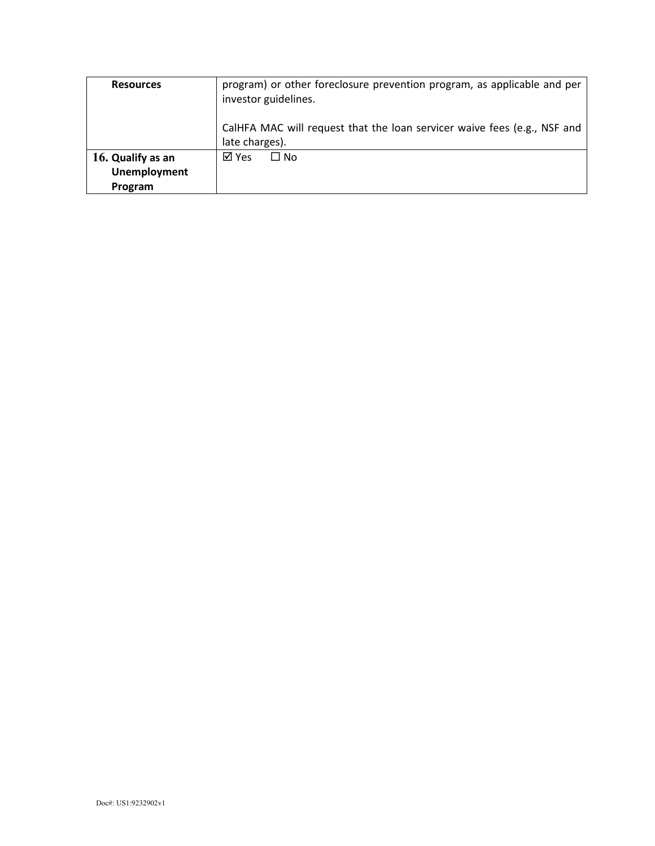| <b>Resources</b>                                    | program) or other foreclosure prevention program, as applicable and per<br>investor guidelines. |  |
|-----------------------------------------------------|-------------------------------------------------------------------------------------------------|--|
|                                                     | CalHFA MAC will request that the loan servicer waive fees (e.g., NSF and<br>late charges).      |  |
| 16. Qualify as an<br><b>Unemployment</b><br>Program | ⊠ Yes<br>$\Box$ No                                                                              |  |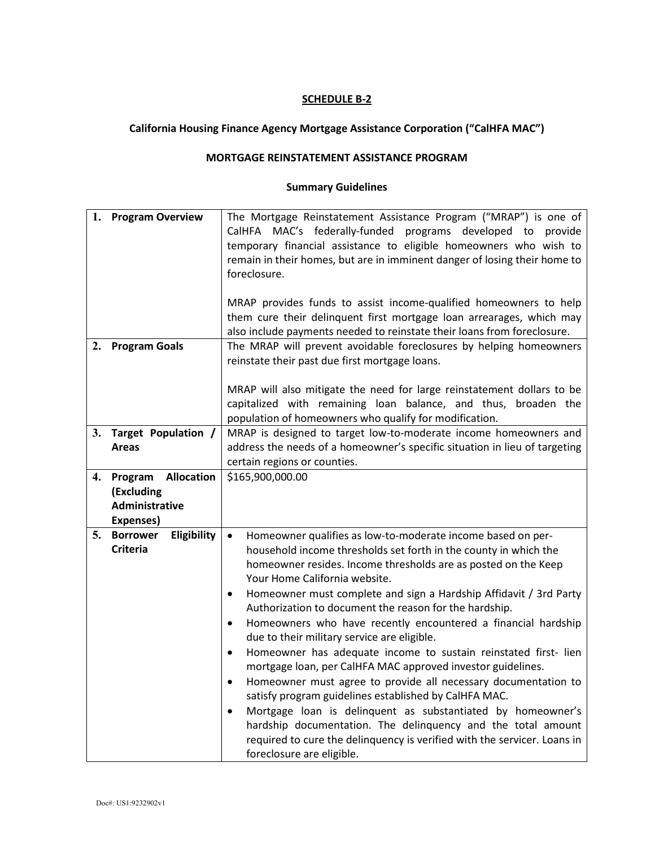## **California Housing Finance Agency Mortgage Assistance Corporation ("CalHFA MAC")**

#### **MORTGAGE REINSTATEMENT ASSISTANCE PROGRAM**

| 1. | <b>Program Overview</b>        | The Mortgage Reinstatement Assistance Program ("MRAP") is one of             |
|----|--------------------------------|------------------------------------------------------------------------------|
|    |                                | CalHFA MAC's federally-funded programs developed to provide                  |
|    |                                | temporary financial assistance to eligible homeowners who wish to            |
|    |                                | remain in their homes, but are in imminent danger of losing their home to    |
|    |                                | foreclosure.                                                                 |
|    |                                |                                                                              |
|    |                                | MRAP provides funds to assist income-qualified homeowners to help            |
|    |                                | them cure their delinquent first mortgage loan arrearages, which may         |
|    |                                | also include payments needed to reinstate their loans from foreclosure.      |
| 2. | <b>Program Goals</b>           | The MRAP will prevent avoidable foreclosures by helping homeowners           |
|    |                                |                                                                              |
|    |                                | reinstate their past due first mortgage loans.                               |
|    |                                |                                                                              |
|    |                                | MRAP will also mitigate the need for large reinstatement dollars to be       |
|    |                                | capitalized with remaining loan balance, and thus, broaden the               |
|    |                                | population of homeowners who qualify for modification.                       |
|    | 3. Target Population /         | MRAP is designed to target low-to-moderate income homeowners and             |
|    | <b>Areas</b>                   | address the needs of a homeowner's specific situation in lieu of targeting   |
|    |                                | certain regions or counties.                                                 |
| 4. | Program Allocation             | \$165,900,000.00                                                             |
|    | (Excluding                     |                                                                              |
|    | Administrative                 |                                                                              |
|    | Expenses)                      |                                                                              |
| 5. | <b>Borrower</b><br>Eligibility | Homeowner qualifies as low-to-moderate income based on per-<br>$\bullet$     |
|    | <b>Criteria</b>                | household income thresholds set forth in the county in which the             |
|    |                                | homeowner resides. Income thresholds are as posted on the Keep               |
|    |                                | Your Home California website.                                                |
|    |                                | Homeowner must complete and sign a Hardship Affidavit / 3rd Party<br>٠       |
|    |                                | Authorization to document the reason for the hardship.                       |
|    |                                | Homeowners who have recently encountered a financial hardship<br>$\bullet$   |
|    |                                | due to their military service are eligible.                                  |
|    |                                |                                                                              |
|    |                                | Homeowner has adequate income to sustain reinstated first- lien<br>$\bullet$ |
|    |                                | mortgage loan, per CalHFA MAC approved investor guidelines.                  |
|    |                                | Homeowner must agree to provide all necessary documentation to<br>٠          |
|    |                                | satisfy program guidelines established by CalHFA MAC.                        |
|    |                                | Mortgage loan is delinquent as substantiated by homeowner's<br>$\bullet$     |
|    |                                | hardship documentation. The delinquency and the total amount                 |
|    |                                | required to cure the delinquency is verified with the servicer. Loans in     |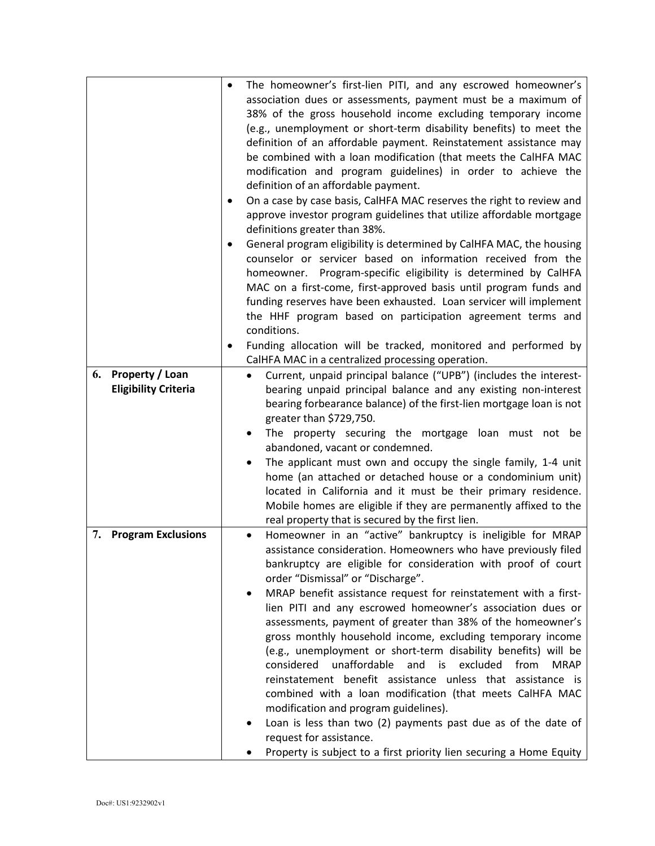| 6. | Property / Loan<br><b>Eligibility Criteria</b> | ٠<br>٠ | ٠              | The homeowner's first-lien PITI, and any escrowed homeowner's<br>association dues or assessments, payment must be a maximum of<br>38% of the gross household income excluding temporary income<br>(e.g., unemployment or short-term disability benefits) to meet the<br>definition of an affordable payment. Reinstatement assistance may<br>be combined with a loan modification (that meets the CalHFA MAC<br>modification and program guidelines) in order to achieve the<br>definition of an affordable payment.<br>On a case by case basis, CalHFA MAC reserves the right to review and<br>approve investor program guidelines that utilize affordable mortgage<br>definitions greater than 38%.<br>General program eligibility is determined by CalHFA MAC, the housing<br>counselor or servicer based on information received from the<br>homeowner. Program-specific eligibility is determined by CalHFA<br>MAC on a first-come, first-approved basis until program funds and<br>funding reserves have been exhausted. Loan servicer will implement<br>the HHF program based on participation agreement terms and<br>conditions.<br>Funding allocation will be tracked, monitored and performed by<br>CalHFA MAC in a centralized processing operation.<br>Current, unpaid principal balance ("UPB") (includes the interest-<br>bearing unpaid principal balance and any existing non-interest<br>bearing forbearance balance) of the first-lien mortgage loan is not<br>greater than \$729,750.<br>The property securing the mortgage loan must not be<br>abandoned, vacant or condemned.<br>The applicant must own and occupy the single family, 1-4 unit |
|----|------------------------------------------------|--------|----------------|---------------------------------------------------------------------------------------------------------------------------------------------------------------------------------------------------------------------------------------------------------------------------------------------------------------------------------------------------------------------------------------------------------------------------------------------------------------------------------------------------------------------------------------------------------------------------------------------------------------------------------------------------------------------------------------------------------------------------------------------------------------------------------------------------------------------------------------------------------------------------------------------------------------------------------------------------------------------------------------------------------------------------------------------------------------------------------------------------------------------------------------------------------------------------------------------------------------------------------------------------------------------------------------------------------------------------------------------------------------------------------------------------------------------------------------------------------------------------------------------------------------------------------------------------------------------------------------------------------------------------------------------------------------------|
|    |                                                |        |                | home (an attached or detached house or a condominium unit)<br>located in California and it must be their primary residence.<br>Mobile homes are eligible if they are permanently affixed to the<br>real property that is secured by the first lien.                                                                                                                                                                                                                                                                                                                                                                                                                                                                                                                                                                                                                                                                                                                                                                                                                                                                                                                                                                                                                                                                                                                                                                                                                                                                                                                                                                                                                 |
| 7. | <b>Program Exclusions</b>                      |        | $\bullet$<br>٠ | Homeowner in an "active" bankruptcy is ineligible for MRAP<br>assistance consideration. Homeowners who have previously filed<br>bankruptcy are eligible for consideration with proof of court<br>order "Dismissal" or "Discharge".<br>MRAP benefit assistance request for reinstatement with a first-<br>lien PITI and any escrowed homeowner's association dues or<br>assessments, payment of greater than 38% of the homeowner's<br>gross monthly household income, excluding temporary income<br>(e.g., unemployment or short-term disability benefits) will be<br>considered unaffordable<br>and is excluded<br>from<br><b>MRAP</b><br>reinstatement benefit assistance unless that assistance is<br>combined with a loan modification (that meets CalHFA MAC<br>modification and program guidelines).<br>Loan is less than two (2) payments past due as of the date of<br>request for assistance.<br>Property is subject to a first priority lien securing a Home Equity                                                                                                                                                                                                                                                                                                                                                                                                                                                                                                                                                                                                                                                                                       |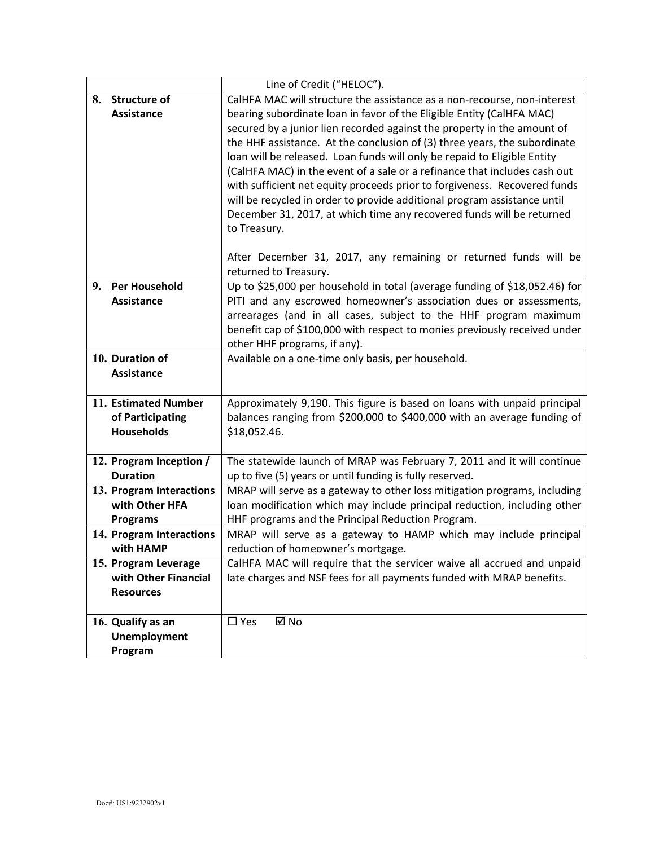|                                            | Line of Credit ("HELOC").                                                                                                             |
|--------------------------------------------|---------------------------------------------------------------------------------------------------------------------------------------|
| 8. Structure of                            | CalHFA MAC will structure the assistance as a non-recourse, non-interest                                                              |
| <b>Assistance</b>                          | bearing subordinate loan in favor of the Eligible Entity (CalHFA MAC)                                                                 |
|                                            | secured by a junior lien recorded against the property in the amount of                                                               |
|                                            | the HHF assistance. At the conclusion of (3) three years, the subordinate                                                             |
|                                            | loan will be released. Loan funds will only be repaid to Eligible Entity                                                              |
|                                            | (CalHFA MAC) in the event of a sale or a refinance that includes cash out                                                             |
|                                            | with sufficient net equity proceeds prior to forgiveness. Recovered funds                                                             |
|                                            | will be recycled in order to provide additional program assistance until                                                              |
|                                            | December 31, 2017, at which time any recovered funds will be returned                                                                 |
|                                            | to Treasury.                                                                                                                          |
|                                            |                                                                                                                                       |
|                                            | After December 31, 2017, any remaining or returned funds will be                                                                      |
|                                            | returned to Treasury.                                                                                                                 |
| <b>Per Household</b><br>9.                 | Up to \$25,000 per household in total (average funding of \$18,052.46) for                                                            |
| <b>Assistance</b>                          | PITI and any escrowed homeowner's association dues or assessments,                                                                    |
|                                            | arrearages (and in all cases, subject to the HHF program maximum                                                                      |
|                                            | benefit cap of \$100,000 with respect to monies previously received under                                                             |
|                                            | other HHF programs, if any).                                                                                                          |
| 10. Duration of                            | Available on a one-time only basis, per household.                                                                                    |
| <b>Assistance</b>                          |                                                                                                                                       |
|                                            |                                                                                                                                       |
| 11. Estimated Number                       | Approximately 9,190. This figure is based on loans with unpaid principal                                                              |
| of Participating                           | balances ranging from \$200,000 to \$400,000 with an average funding of                                                               |
| <b>Households</b>                          | \$18,052.46.                                                                                                                          |
|                                            |                                                                                                                                       |
| 12. Program Inception /<br><b>Duration</b> | The statewide launch of MRAP was February 7, 2011 and it will continue                                                                |
| 13. Program Interactions                   | up to five (5) years or until funding is fully reserved.<br>MRAP will serve as a gateway to other loss mitigation programs, including |
| with Other HFA                             | loan modification which may include principal reduction, including other                                                              |
| <b>Programs</b>                            | HHF programs and the Principal Reduction Program.                                                                                     |
| 14. Program Interactions                   | MRAP will serve as a gateway to HAMP which may include principal                                                                      |
| with HAMP                                  | reduction of homeowner's mortgage.                                                                                                    |
| 15. Program Leverage                       | CalHFA MAC will require that the servicer waive all accrued and unpaid                                                                |
| with Other Financial                       | late charges and NSF fees for all payments funded with MRAP benefits.                                                                 |
| <b>Resources</b>                           |                                                                                                                                       |
|                                            |                                                                                                                                       |
| 16. Qualify as an                          | ⊠ No<br>$\square$ Yes                                                                                                                 |
| <b>Unemployment</b>                        |                                                                                                                                       |
| Program                                    |                                                                                                                                       |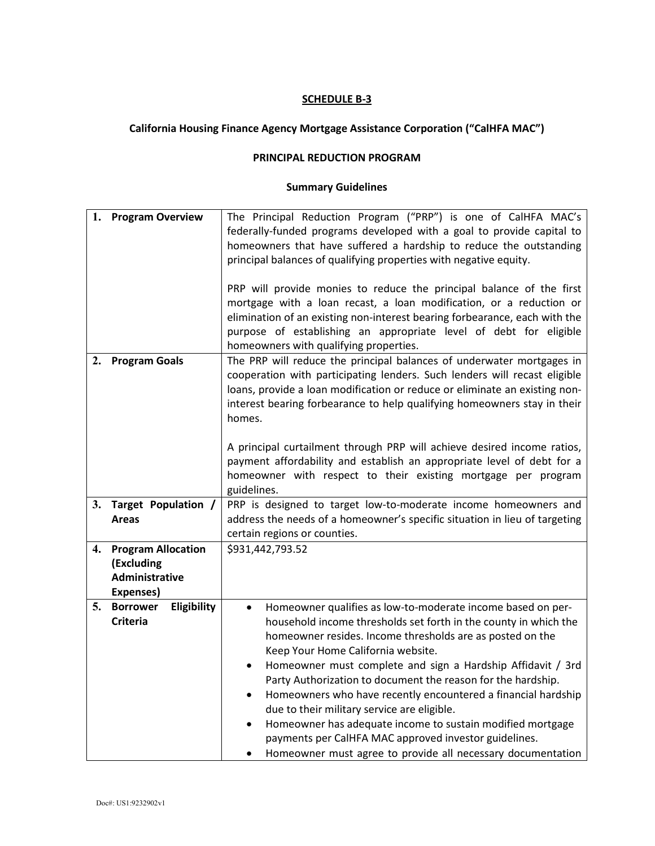## **California Housing Finance Agency Mortgage Assistance Corporation ("CalHFA MAC")**

#### **PRINCIPAL REDUCTION PROGRAM**

| 1. | <b>Program Overview</b>        | The Principal Reduction Program ("PRP") is one of CalHFA MAC's                                                                                     |  |
|----|--------------------------------|----------------------------------------------------------------------------------------------------------------------------------------------------|--|
|    |                                | federally-funded programs developed with a goal to provide capital to                                                                              |  |
|    |                                | homeowners that have suffered a hardship to reduce the outstanding                                                                                 |  |
|    |                                | principal balances of qualifying properties with negative equity.                                                                                  |  |
|    |                                |                                                                                                                                                    |  |
|    |                                | PRP will provide monies to reduce the principal balance of the first                                                                               |  |
|    |                                | mortgage with a loan recast, a loan modification, or a reduction or                                                                                |  |
|    |                                | elimination of an existing non-interest bearing forbearance, each with the                                                                         |  |
|    |                                | purpose of establishing an appropriate level of debt for eligible                                                                                  |  |
|    |                                | homeowners with qualifying properties.                                                                                                             |  |
| 2. |                                |                                                                                                                                                    |  |
|    | <b>Program Goals</b>           | The PRP will reduce the principal balances of underwater mortgages in<br>cooperation with participating lenders. Such lenders will recast eligible |  |
|    |                                |                                                                                                                                                    |  |
|    |                                | loans, provide a loan modification or reduce or eliminate an existing non-                                                                         |  |
|    |                                | interest bearing forbearance to help qualifying homeowners stay in their                                                                           |  |
|    |                                | homes.                                                                                                                                             |  |
|    |                                |                                                                                                                                                    |  |
|    |                                | A principal curtailment through PRP will achieve desired income ratios,                                                                            |  |
|    |                                | payment affordability and establish an appropriate level of debt for a                                                                             |  |
|    |                                | homeowner with respect to their existing mortgage per program                                                                                      |  |
|    |                                | guidelines.                                                                                                                                        |  |
| 3. | Target Population /            | PRP is designed to target low-to-moderate income homeowners and                                                                                    |  |
|    | Areas                          | address the needs of a homeowner's specific situation in lieu of targeting                                                                         |  |
|    |                                | certain regions or counties.                                                                                                                       |  |
| 4. | <b>Program Allocation</b>      | \$931,442,793.52                                                                                                                                   |  |
|    | (Excluding                     |                                                                                                                                                    |  |
|    | <b>Administrative</b>          |                                                                                                                                                    |  |
|    | Expenses)                      |                                                                                                                                                    |  |
| 5. | Eligibility<br><b>Borrower</b> | Homeowner qualifies as low-to-moderate income based on per-                                                                                        |  |
|    | <b>Criteria</b>                | household income thresholds set forth in the county in which the                                                                                   |  |
|    |                                | homeowner resides. Income thresholds are as posted on the                                                                                          |  |
|    |                                | Keep Your Home California website.                                                                                                                 |  |
|    |                                | Homeowner must complete and sign a Hardship Affidavit / 3rd<br>٠                                                                                   |  |
|    |                                | Party Authorization to document the reason for the hardship.                                                                                       |  |
|    |                                | Homeowners who have recently encountered a financial hardship                                                                                      |  |
|    |                                | due to their military service are eligible.                                                                                                        |  |
|    |                                | Homeowner has adequate income to sustain modified mortgage                                                                                         |  |
|    |                                | payments per CalHFA MAC approved investor guidelines.                                                                                              |  |
|    |                                | Homeowner must agree to provide all necessary documentation<br>٠                                                                                   |  |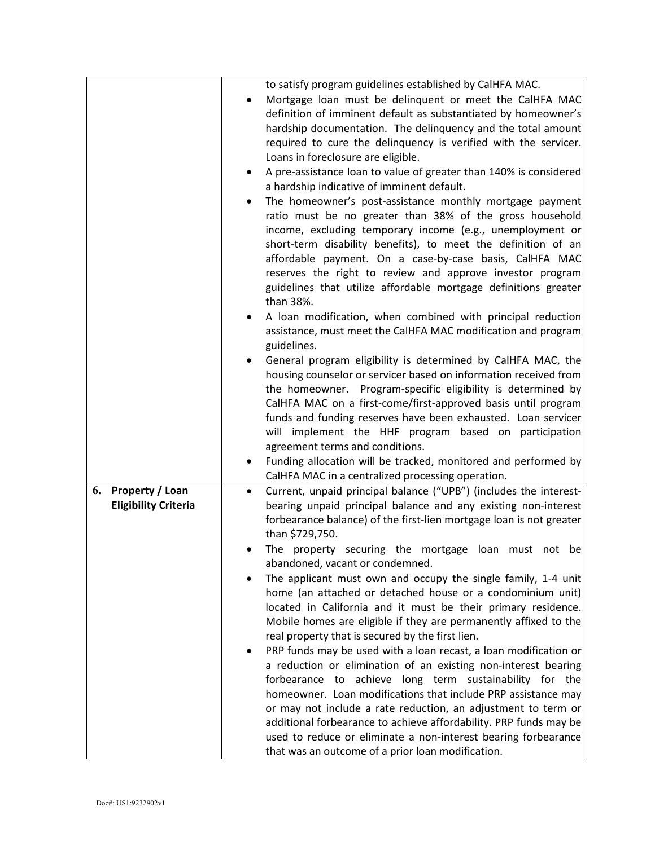|                                                             | to satisfy program guidelines established by CalHFA MAC.<br>Mortgage loan must be delinquent or meet the CalHFA MAC<br>definition of imminent default as substantiated by homeowner's<br>hardship documentation. The delinquency and the total amount<br>required to cure the delinquency is verified with the servicer.<br>Loans in foreclosure are eligible.<br>A pre-assistance loan to value of greater than 140% is considered<br>a hardship indicative of imminent default.<br>The homeowner's post-assistance monthly mortgage payment<br>ratio must be no greater than 38% of the gross household<br>income, excluding temporary income (e.g., unemployment or<br>short-term disability benefits), to meet the definition of an<br>affordable payment. On a case-by-case basis, CalHFA MAC<br>reserves the right to review and approve investor program<br>guidelines that utilize affordable mortgage definitions greater<br>than 38%.<br>A loan modification, when combined with principal reduction<br>assistance, must meet the CalHFA MAC modification and program<br>guidelines.<br>General program eligibility is determined by CalHFA MAC, the<br>housing counselor or servicer based on information received from<br>the homeowner. Program-specific eligibility is determined by<br>CalHFA MAC on a first-come/first-approved basis until program<br>funds and funding reserves have been exhausted. Loan servicer<br>will implement the HHF program based on participation<br>agreement terms and conditions.<br>Funding allocation will be tracked, monitored and performed by<br>CalHFA MAC in a centralized processing operation. |
|-------------------------------------------------------------|---------------------------------------------------------------------------------------------------------------------------------------------------------------------------------------------------------------------------------------------------------------------------------------------------------------------------------------------------------------------------------------------------------------------------------------------------------------------------------------------------------------------------------------------------------------------------------------------------------------------------------------------------------------------------------------------------------------------------------------------------------------------------------------------------------------------------------------------------------------------------------------------------------------------------------------------------------------------------------------------------------------------------------------------------------------------------------------------------------------------------------------------------------------------------------------------------------------------------------------------------------------------------------------------------------------------------------------------------------------------------------------------------------------------------------------------------------------------------------------------------------------------------------------------------------------------------------------------------------------------------------------------------------|
| <b>Property / Loan</b><br>6.<br><b>Eligibility Criteria</b> | Current, unpaid principal balance ("UPB") (includes the interest-<br>$\bullet$<br>bearing unpaid principal balance and any existing non-interest<br>forbearance balance) of the first-lien mortgage loan is not greater<br>than \$729,750.<br>The property securing the mortgage loan must not be<br>abandoned, vacant or condemned.<br>The applicant must own and occupy the single family, 1-4 unit<br>home (an attached or detached house or a condominium unit)<br>located in California and it must be their primary residence.<br>Mobile homes are eligible if they are permanently affixed to the<br>real property that is secured by the first lien.<br>PRP funds may be used with a loan recast, a loan modification or<br>a reduction or elimination of an existing non-interest bearing<br>forbearance to achieve long term sustainability for the<br>homeowner. Loan modifications that include PRP assistance may<br>or may not include a rate reduction, an adjustment to term or<br>additional forbearance to achieve affordability. PRP funds may be<br>used to reduce or eliminate a non-interest bearing forbearance<br>that was an outcome of a prior loan modification.                                                                                                                                                                                                                                                                                                                                                                                                                                                             |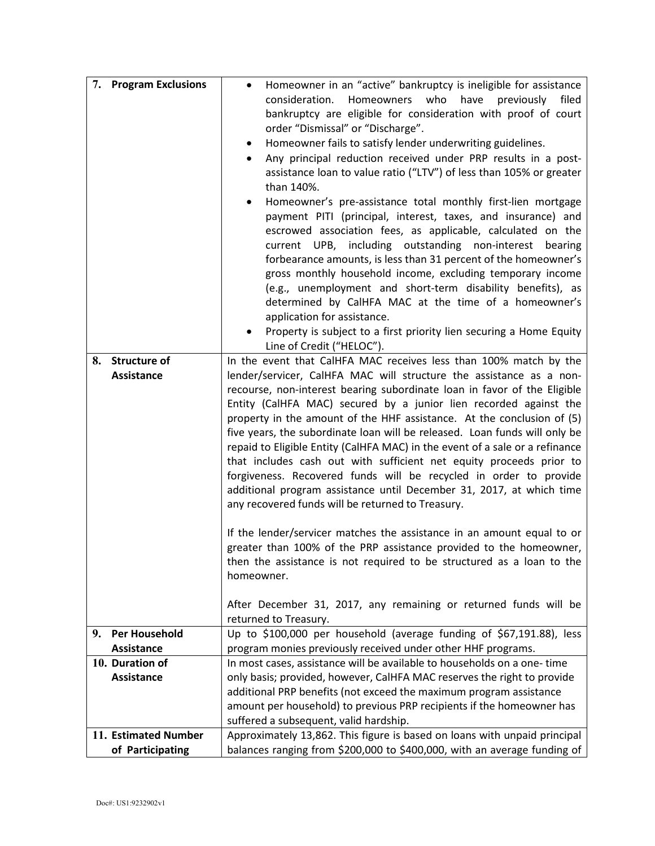| 7. | <b>Program Exclusions</b> | Homeowner in an "active" bankruptcy is ineligible for assistance<br>$\bullet$ |  |
|----|---------------------------|-------------------------------------------------------------------------------|--|
|    |                           | have previously<br>consideration.<br>Homeowners<br>who<br>filed               |  |
|    |                           | bankruptcy are eligible for consideration with proof of court                 |  |
|    |                           | order "Dismissal" or "Discharge".                                             |  |
|    |                           | Homeowner fails to satisfy lender underwriting guidelines.<br>$\bullet$       |  |
|    |                           | Any principal reduction received under PRP results in a post-                 |  |
|    |                           | assistance loan to value ratio ("LTV") of less than 105% or greater           |  |
|    |                           | than 140%.                                                                    |  |
|    |                           | Homeowner's pre-assistance total monthly first-lien mortgage                  |  |
|    |                           | payment PITI (principal, interest, taxes, and insurance) and                  |  |
|    |                           | escrowed association fees, as applicable, calculated on the                   |  |
|    |                           | including outstanding non-interest<br>current UPB,<br>bearing                 |  |
|    |                           | forbearance amounts, is less than 31 percent of the homeowner's               |  |
|    |                           | gross monthly household income, excluding temporary income                    |  |
|    |                           | (e.g., unemployment and short-term disability benefits), as                   |  |
|    |                           | determined by CalHFA MAC at the time of a homeowner's                         |  |
|    |                           | application for assistance.                                                   |  |
|    |                           | Property is subject to a first priority lien securing a Home Equity           |  |
|    |                           | Line of Credit ("HELOC").                                                     |  |
| 8. | <b>Structure of</b>       | In the event that CalHFA MAC receives less than 100% match by the             |  |
|    | Assistance                | lender/servicer, CalHFA MAC will structure the assistance as a non-           |  |
|    |                           | recourse, non-interest bearing subordinate loan in favor of the Eligible      |  |
|    |                           | Entity (CalHFA MAC) secured by a junior lien recorded against the             |  |
|    |                           | property in the amount of the HHF assistance. At the conclusion of (5)        |  |
|    |                           | five years, the subordinate loan will be released. Loan funds will only be    |  |
|    |                           | repaid to Eligible Entity (CalHFA MAC) in the event of a sale or a refinance  |  |
|    |                           | that includes cash out with sufficient net equity proceeds prior to           |  |
|    |                           | forgiveness. Recovered funds will be recycled in order to provide             |  |
|    |                           | additional program assistance until December 31, 2017, at which time          |  |
|    |                           | any recovered funds will be returned to Treasury.                             |  |
|    |                           | If the lender/servicer matches the assistance in an amount equal to or        |  |
|    |                           | greater than 100% of the PRP assistance provided to the homeowner,            |  |
|    |                           | then the assistance is not required to be structured as a loan to the         |  |
|    |                           | homeowner.                                                                    |  |
|    |                           |                                                                               |  |
|    |                           | After December 31, 2017, any remaining or returned funds will be              |  |
|    |                           | returned to Treasury.                                                         |  |
| 9. | <b>Per Household</b>      | Up to \$100,000 per household (average funding of \$67,191.88), less          |  |
|    | <b>Assistance</b>         | program monies previously received under other HHF programs.                  |  |
|    | 10. Duration of           | In most cases, assistance will be available to households on a one-time       |  |
|    | <b>Assistance</b>         | only basis; provided, however, CalHFA MAC reserves the right to provide       |  |
|    |                           | additional PRP benefits (not exceed the maximum program assistance            |  |
|    |                           | amount per household) to previous PRP recipients if the homeowner has         |  |
|    |                           | suffered a subsequent, valid hardship.                                        |  |
|    | 11. Estimated Number      | Approximately 13,862. This figure is based on loans with unpaid principal     |  |
|    | of Participating          | balances ranging from \$200,000 to \$400,000, with an average funding of      |  |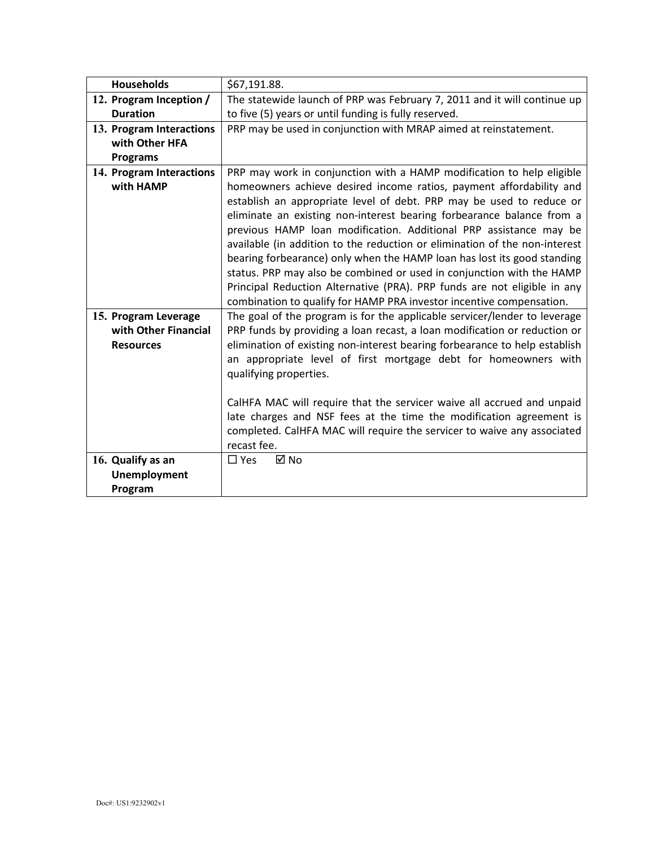| <b>Households</b>                                                          | \$67,191.88.                                                               |  |  |
|----------------------------------------------------------------------------|----------------------------------------------------------------------------|--|--|
| 12. Program Inception /                                                    | The statewide launch of PRP was February 7, 2011 and it will continue up   |  |  |
| <b>Duration</b>                                                            | to five (5) years or until funding is fully reserved.                      |  |  |
| 13. Program Interactions                                                   | PRP may be used in conjunction with MRAP aimed at reinstatement.           |  |  |
| with Other HFA                                                             |                                                                            |  |  |
| <b>Programs</b>                                                            |                                                                            |  |  |
| 14. Program Interactions                                                   | PRP may work in conjunction with a HAMP modification to help eligible      |  |  |
| with HAMP                                                                  | homeowners achieve desired income ratios, payment affordability and        |  |  |
|                                                                            | establish an appropriate level of debt. PRP may be used to reduce or       |  |  |
|                                                                            | eliminate an existing non-interest bearing forbearance balance from a      |  |  |
| previous HAMP loan modification. Additional PRP assistance may be          |                                                                            |  |  |
| available (in addition to the reduction or elimination of the non-interest |                                                                            |  |  |
|                                                                            | bearing forbearance) only when the HAMP loan has lost its good standing    |  |  |
|                                                                            | status. PRP may also be combined or used in conjunction with the HAMP      |  |  |
|                                                                            | Principal Reduction Alternative (PRA). PRP funds are not eligible in any   |  |  |
|                                                                            | combination to qualify for HAMP PRA investor incentive compensation.       |  |  |
| 15. Program Leverage                                                       | The goal of the program is for the applicable servicer/lender to leverage  |  |  |
| with Other Financial                                                       | PRP funds by providing a loan recast, a loan modification or reduction or  |  |  |
| <b>Resources</b>                                                           | elimination of existing non-interest bearing forbearance to help establish |  |  |
|                                                                            | an appropriate level of first mortgage debt for homeowners with            |  |  |
|                                                                            | qualifying properties.                                                     |  |  |
|                                                                            |                                                                            |  |  |
|                                                                            | CalHFA MAC will require that the servicer waive all accrued and unpaid     |  |  |
|                                                                            | late charges and NSF fees at the time the modification agreement is        |  |  |
|                                                                            | completed. CalHFA MAC will require the servicer to waive any associated    |  |  |
|                                                                            | recast fee.                                                                |  |  |
| 16. Qualify as an                                                          | ⊠ No<br>$\square$ Yes                                                      |  |  |
| <b>Unemployment</b>                                                        |                                                                            |  |  |
| Program                                                                    |                                                                            |  |  |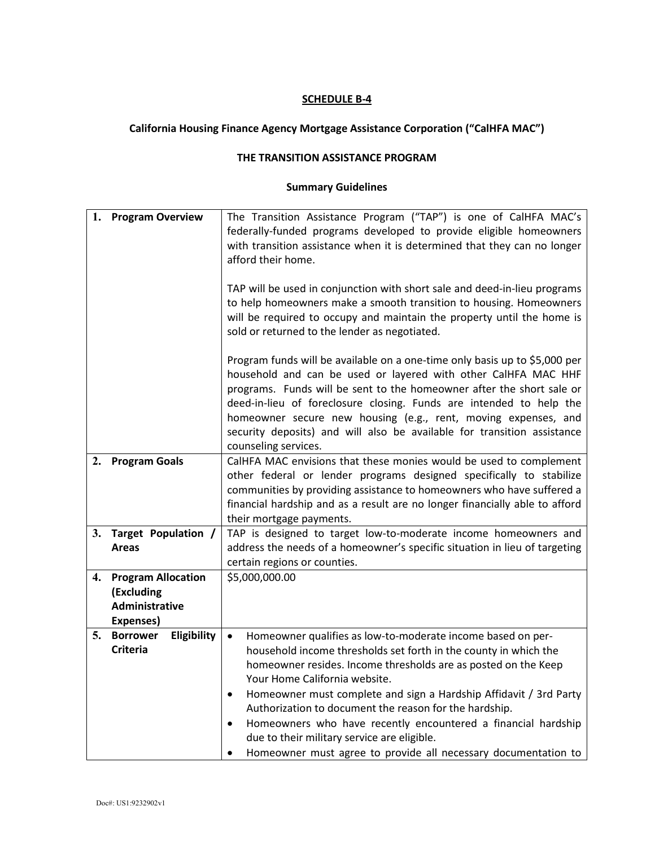# **California Housing Finance Agency Mortgage Assistance Corporation ("CalHFA MAC")**

#### **THE TRANSITION ASSISTANCE PROGRAM**

| 1. | <b>Program Overview</b>                                                | The Transition Assistance Program ("TAP") is one of CalHFA MAC's<br>federally-funded programs developed to provide eligible homeowners<br>with transition assistance when it is determined that they can no longer<br>afford their home.                                                                                                                                                                                                                                                                                                                                      |  |
|----|------------------------------------------------------------------------|-------------------------------------------------------------------------------------------------------------------------------------------------------------------------------------------------------------------------------------------------------------------------------------------------------------------------------------------------------------------------------------------------------------------------------------------------------------------------------------------------------------------------------------------------------------------------------|--|
|    |                                                                        | TAP will be used in conjunction with short sale and deed-in-lieu programs<br>to help homeowners make a smooth transition to housing. Homeowners<br>will be required to occupy and maintain the property until the home is<br>sold or returned to the lender as negotiated.                                                                                                                                                                                                                                                                                                    |  |
|    |                                                                        | Program funds will be available on a one-time only basis up to \$5,000 per<br>household and can be used or layered with other CalHFA MAC HHF<br>programs. Funds will be sent to the homeowner after the short sale or<br>deed-in-lieu of foreclosure closing. Funds are intended to help the<br>homeowner secure new housing (e.g., rent, moving expenses, and<br>security deposits) and will also be available for transition assistance<br>counseling services.                                                                                                             |  |
| 2. | <b>Program Goals</b>                                                   | CalHFA MAC envisions that these monies would be used to complement<br>other federal or lender programs designed specifically to stabilize<br>communities by providing assistance to homeowners who have suffered a<br>financial hardship and as a result are no longer financially able to afford                                                                                                                                                                                                                                                                             |  |
| 3. | Target Population /<br><b>Areas</b>                                    | their mortgage payments.<br>TAP is designed to target low-to-moderate income homeowners and<br>address the needs of a homeowner's specific situation in lieu of targeting<br>certain regions or counties.                                                                                                                                                                                                                                                                                                                                                                     |  |
| 4. | <b>Program Allocation</b><br>(Excluding<br>Administrative<br>Expenses) | \$5,000,000.00                                                                                                                                                                                                                                                                                                                                                                                                                                                                                                                                                                |  |
| 5. | <b>Borrower</b><br>Eligibility<br><b>Criteria</b>                      | Homeowner qualifies as low-to-moderate income based on per-<br>$\bullet$<br>household income thresholds set forth in the county in which the<br>homeowner resides. Income thresholds are as posted on the Keep<br>Your Home California website.<br>Homeowner must complete and sign a Hardship Affidavit / 3rd Party<br>Authorization to document the reason for the hardship.<br>Homeowners who have recently encountered a financial hardship<br>$\bullet$<br>due to their military service are eligible.<br>Homeowner must agree to provide all necessary documentation to |  |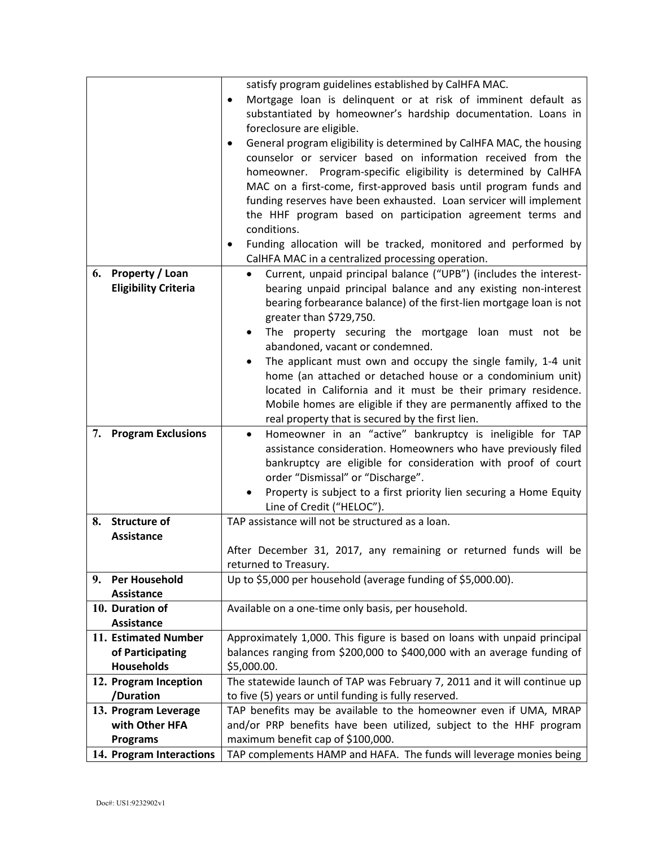|                                 | satisfy program guidelines established by CalHFA MAC.                             |  |  |
|---------------------------------|-----------------------------------------------------------------------------------|--|--|
|                                 | Mortgage loan is delinquent or at risk of imminent default as<br>$\bullet$        |  |  |
|                                 | substantiated by homeowner's hardship documentation. Loans in                     |  |  |
|                                 | foreclosure are eligible.                                                         |  |  |
|                                 | General program eligibility is determined by CalHFA MAC, the housing<br>$\bullet$ |  |  |
|                                 | counselor or servicer based on information received from the                      |  |  |
|                                 | homeowner. Program-specific eligibility is determined by CalHFA                   |  |  |
|                                 | MAC on a first-come, first-approved basis until program funds and                 |  |  |
|                                 | funding reserves have been exhausted. Loan servicer will implement                |  |  |
|                                 |                                                                                   |  |  |
|                                 | the HHF program based on participation agreement terms and<br>conditions.         |  |  |
|                                 |                                                                                   |  |  |
|                                 | Funding allocation will be tracked, monitored and performed by                    |  |  |
|                                 | CalHFA MAC in a centralized processing operation.                                 |  |  |
| <b>Property / Loan</b><br>6.    | Current, unpaid principal balance ("UPB") (includes the interest-<br>$\bullet$    |  |  |
| <b>Eligibility Criteria</b>     | bearing unpaid principal balance and any existing non-interest                    |  |  |
|                                 | bearing forbearance balance) of the first-lien mortgage loan is not               |  |  |
|                                 | greater than \$729,750.                                                           |  |  |
|                                 | The property securing the mortgage loan must not be                               |  |  |
|                                 | abandoned, vacant or condemned.                                                   |  |  |
|                                 | The applicant must own and occupy the single family, 1-4 unit                     |  |  |
|                                 | home (an attached or detached house or a condominium unit)                        |  |  |
|                                 | located in California and it must be their primary residence.                     |  |  |
|                                 | Mobile homes are eligible if they are permanently affixed to the                  |  |  |
|                                 | real property that is secured by the first lien.                                  |  |  |
| 7.<br><b>Program Exclusions</b> | Homeowner in an "active" bankruptcy is ineligible for TAP<br>٠                    |  |  |
|                                 | assistance consideration. Homeowners who have previously filed                    |  |  |
|                                 | bankruptcy are eligible for consideration with proof of court                     |  |  |
|                                 | order "Dismissal" or "Discharge".                                                 |  |  |
|                                 | Property is subject to a first priority lien securing a Home Equity               |  |  |
|                                 | Line of Credit ("HELOC").                                                         |  |  |
| 8. Structure of                 | TAP assistance will not be structured as a loan.                                  |  |  |
| <b>Assistance</b>               |                                                                                   |  |  |
|                                 | After December 31, 2017, any remaining or returned funds will be                  |  |  |
|                                 | returned to Treasury.                                                             |  |  |
| 9. Per Household                | Up to \$5,000 per household (average funding of \$5,000.00).                      |  |  |
| <b>Assistance</b>               |                                                                                   |  |  |
| 10. Duration of                 | Available on a one-time only basis, per household.                                |  |  |
| <b>Assistance</b>               |                                                                                   |  |  |
| 11. Estimated Number            | Approximately 1,000. This figure is based on loans with unpaid principal          |  |  |
| of Participating                | balances ranging from \$200,000 to \$400,000 with an average funding of           |  |  |
| <b>Households</b>               | \$5,000.00.                                                                       |  |  |
| 12. Program Inception           | The statewide launch of TAP was February 7, 2011 and it will continue up          |  |  |
| /Duration                       | to five (5) years or until funding is fully reserved.                             |  |  |
| 13. Program Leverage            | TAP benefits may be available to the homeowner even if UMA, MRAP                  |  |  |
| with Other HFA                  | and/or PRP benefits have been utilized, subject to the HHF program                |  |  |
| <b>Programs</b>                 | maximum benefit cap of \$100,000.                                                 |  |  |
| 14. Program Interactions        | TAP complements HAMP and HAFA. The funds will leverage monies being               |  |  |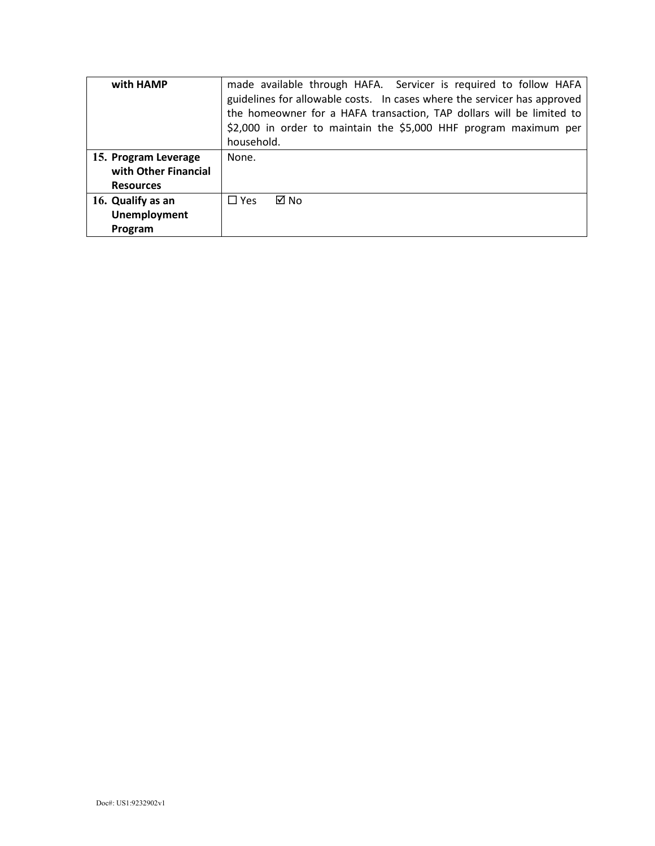| with HAMP            | made available through HAFA. Servicer is required to follow HAFA<br>guidelines for allowable costs. In cases where the servicer has approved<br>the homeowner for a HAFA transaction, TAP dollars will be limited to<br>\$2,000 in order to maintain the \$5,000 HHF program maximum per |  |  |
|----------------------|------------------------------------------------------------------------------------------------------------------------------------------------------------------------------------------------------------------------------------------------------------------------------------------|--|--|
|                      | household.                                                                                                                                                                                                                                                                               |  |  |
| 15. Program Leverage | None.                                                                                                                                                                                                                                                                                    |  |  |
| with Other Financial |                                                                                                                                                                                                                                                                                          |  |  |
| <b>Resources</b>     |                                                                                                                                                                                                                                                                                          |  |  |
| 16. Qualify as an    | ⊠ No<br>$\Box$ Yes                                                                                                                                                                                                                                                                       |  |  |
| <b>Unemployment</b>  |                                                                                                                                                                                                                                                                                          |  |  |
| Program              |                                                                                                                                                                                                                                                                                          |  |  |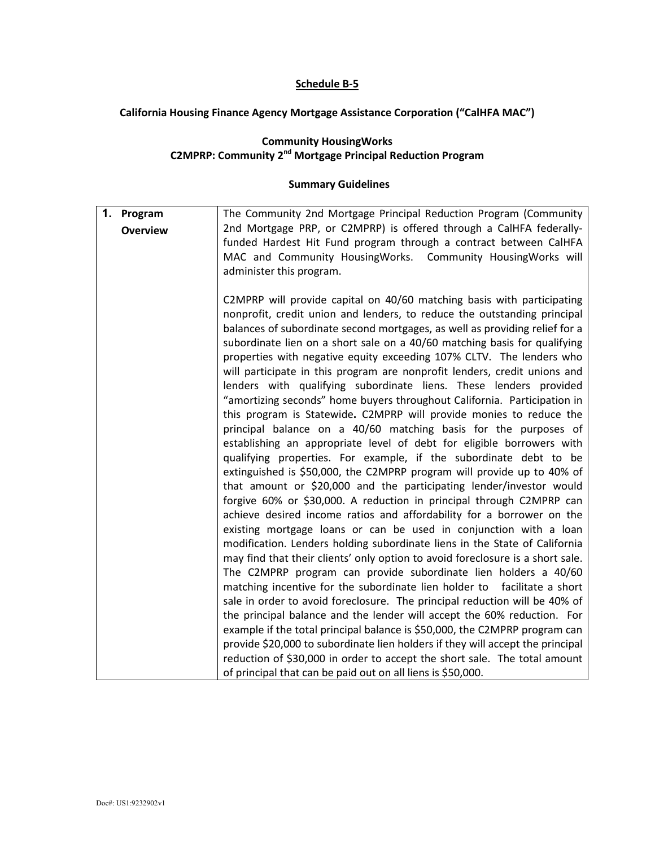## **Schedule B-5**

## **California Housing Finance Agency Mortgage Assistance Corporation ("CalHFA MAC")**

#### **Community HousingWorks C2MPRP: Community 2nd Mortgage Principal Reduction Program**

| 1. Program      | The Community 2nd Mortgage Principal Reduction Program (Community                                                                                      |
|-----------------|--------------------------------------------------------------------------------------------------------------------------------------------------------|
| <b>Overview</b> | 2nd Mortgage PRP, or C2MPRP) is offered through a CalHFA federally-                                                                                    |
|                 | funded Hardest Hit Fund program through a contract between CalHFA                                                                                      |
|                 | MAC and Community HousingWorks. Community HousingWorks will                                                                                            |
|                 | administer this program.                                                                                                                               |
|                 |                                                                                                                                                        |
|                 | C2MPRP will provide capital on 40/60 matching basis with participating                                                                                 |
|                 | nonprofit, credit union and lenders, to reduce the outstanding principal                                                                               |
|                 | balances of subordinate second mortgages, as well as providing relief for a                                                                            |
|                 | subordinate lien on a short sale on a 40/60 matching basis for qualifying<br>properties with negative equity exceeding 107% CLTV. The lenders who      |
|                 | will participate in this program are nonprofit lenders, credit unions and                                                                              |
|                 | lenders with qualifying subordinate liens. These lenders provided                                                                                      |
|                 | "amortizing seconds" home buyers throughout California. Participation in                                                                               |
|                 | this program is Statewide. C2MPRP will provide monies to reduce the                                                                                    |
|                 | principal balance on a 40/60 matching basis for the purposes of                                                                                        |
|                 | establishing an appropriate level of debt for eligible borrowers with                                                                                  |
|                 | qualifying properties. For example, if the subordinate debt to be                                                                                      |
|                 | extinguished is \$50,000, the C2MPRP program will provide up to 40% of                                                                                 |
|                 | that amount or \$20,000 and the participating lender/investor would                                                                                    |
|                 | forgive 60% or \$30,000. A reduction in principal through C2MPRP can                                                                                   |
|                 | achieve desired income ratios and affordability for a borrower on the                                                                                  |
|                 | existing mortgage loans or can be used in conjunction with a loan                                                                                      |
|                 | modification. Lenders holding subordinate liens in the State of California                                                                             |
|                 | may find that their clients' only option to avoid foreclosure is a short sale.                                                                         |
|                 | The C2MPRP program can provide subordinate lien holders a 40/60                                                                                        |
|                 | matching incentive for the subordinate lien holder to facilitate a short<br>sale in order to avoid foreclosure. The principal reduction will be 40% of |
|                 | the principal balance and the lender will accept the 60% reduction. For                                                                                |
|                 | example if the total principal balance is \$50,000, the C2MPRP program can                                                                             |
|                 | provide \$20,000 to subordinate lien holders if they will accept the principal                                                                         |
|                 | reduction of \$30,000 in order to accept the short sale. The total amount                                                                              |
|                 | of principal that can be paid out on all liens is \$50,000.                                                                                            |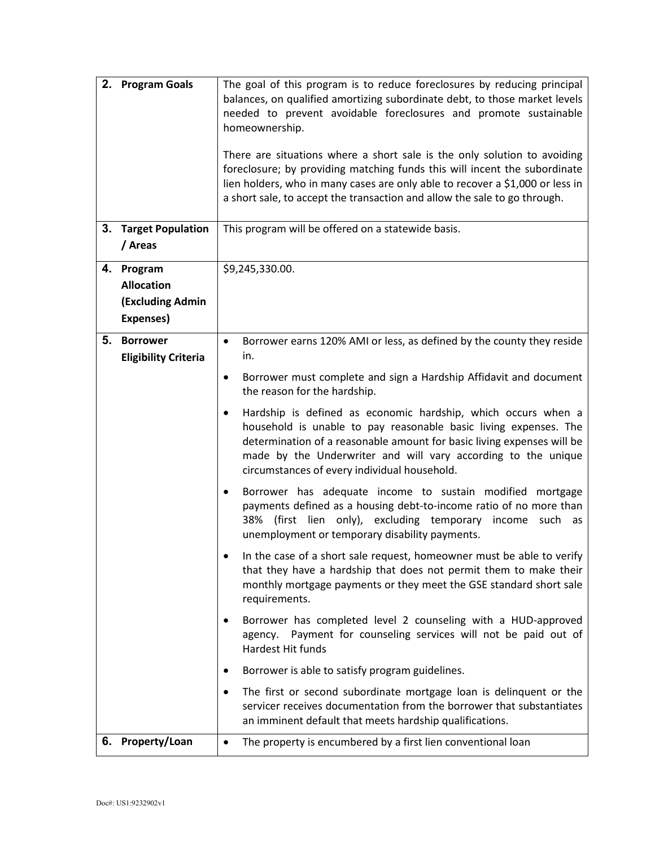| 3. | 2. Program Goals<br><b>Target Population</b>                            | The goal of this program is to reduce foreclosures by reducing principal<br>balances, on qualified amortizing subordinate debt, to those market levels<br>needed to prevent avoidable foreclosures and promote sustainable<br>homeownership.<br>There are situations where a short sale is the only solution to avoiding<br>foreclosure; by providing matching funds this will incent the subordinate<br>lien holders, who in many cases are only able to recover a \$1,000 or less in<br>a short sale, to accept the transaction and allow the sale to go through.<br>This program will be offered on a statewide basis.                                                                                                                                                                                                                                                                                                                                                                                                                                                                                                                                                                                                                                                                                                                            |  |
|----|-------------------------------------------------------------------------|------------------------------------------------------------------------------------------------------------------------------------------------------------------------------------------------------------------------------------------------------------------------------------------------------------------------------------------------------------------------------------------------------------------------------------------------------------------------------------------------------------------------------------------------------------------------------------------------------------------------------------------------------------------------------------------------------------------------------------------------------------------------------------------------------------------------------------------------------------------------------------------------------------------------------------------------------------------------------------------------------------------------------------------------------------------------------------------------------------------------------------------------------------------------------------------------------------------------------------------------------------------------------------------------------------------------------------------------------|--|
|    | / Areas                                                                 |                                                                                                                                                                                                                                                                                                                                                                                                                                                                                                                                                                                                                                                                                                                                                                                                                                                                                                                                                                                                                                                                                                                                                                                                                                                                                                                                                      |  |
|    | 4. Program<br><b>Allocation</b><br><b>(Excluding Admin</b><br>Expenses) | \$9,245,330.00.                                                                                                                                                                                                                                                                                                                                                                                                                                                                                                                                                                                                                                                                                                                                                                                                                                                                                                                                                                                                                                                                                                                                                                                                                                                                                                                                      |  |
| 5. | <b>Borrower</b><br><b>Eligibility Criteria</b>                          | Borrower earns 120% AMI or less, as defined by the county they reside<br>$\bullet$<br>in.<br>Borrower must complete and sign a Hardship Affidavit and document<br>$\bullet$<br>the reason for the hardship.<br>Hardship is defined as economic hardship, which occurs when a<br>$\bullet$<br>household is unable to pay reasonable basic living expenses. The<br>determination of a reasonable amount for basic living expenses will be<br>made by the Underwriter and will vary according to the unique<br>circumstances of every individual household.<br>Borrower has adequate income to sustain modified mortgage<br>٠<br>payments defined as a housing debt-to-income ratio of no more than<br>(first lien only), excluding temporary<br>38%<br>income such as<br>unemployment or temporary disability payments.<br>In the case of a short sale request, homeowner must be able to verify<br>that they have a hardship that does not permit them to make their<br>monthly mortgage payments or they meet the GSE standard short sale<br>requirements.<br>Borrower has completed level 2 counseling with a HUD-approved<br>Payment for counseling services will not be paid out of<br>agency.<br>Hardest Hit funds<br>Borrower is able to satisfy program guidelines.<br>The first or second subordinate mortgage loan is delinquent or the<br>٠ |  |
|    |                                                                         | servicer receives documentation from the borrower that substantiates<br>an imminent default that meets hardship qualifications.                                                                                                                                                                                                                                                                                                                                                                                                                                                                                                                                                                                                                                                                                                                                                                                                                                                                                                                                                                                                                                                                                                                                                                                                                      |  |
|    | 6. Property/Loan                                                        | The property is encumbered by a first lien conventional loan<br>$\bullet$                                                                                                                                                                                                                                                                                                                                                                                                                                                                                                                                                                                                                                                                                                                                                                                                                                                                                                                                                                                                                                                                                                                                                                                                                                                                            |  |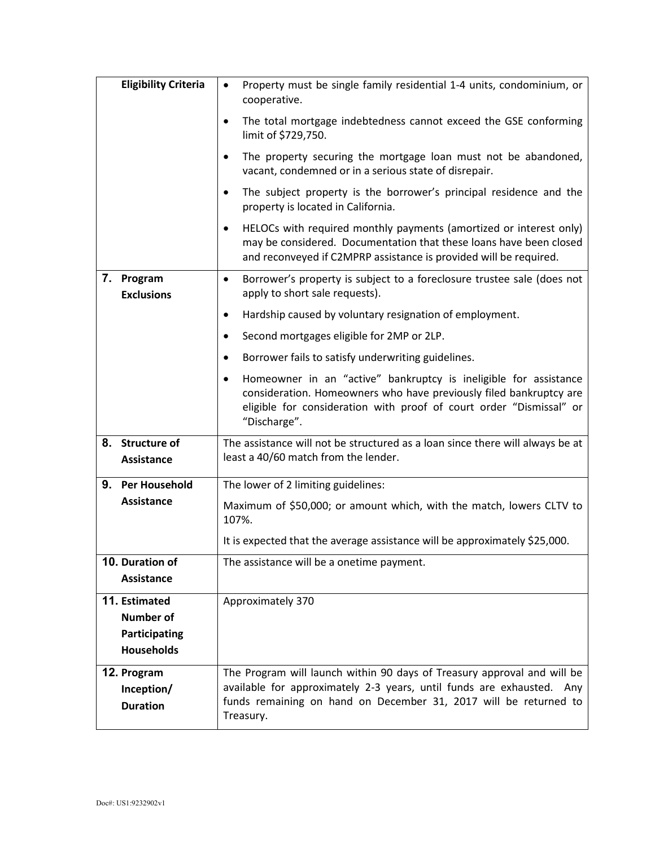|             | <b>Eligibility Criteria</b>                                                                                                                              | Property must be single family residential 1-4 units, condominium, or<br>cooperative.                                                                                                                                              |  |
|-------------|----------------------------------------------------------------------------------------------------------------------------------------------------------|------------------------------------------------------------------------------------------------------------------------------------------------------------------------------------------------------------------------------------|--|
|             |                                                                                                                                                          | The total mortgage indebtedness cannot exceed the GSE conforming<br>٠<br>limit of \$729,750.                                                                                                                                       |  |
|             |                                                                                                                                                          | The property securing the mortgage loan must not be abandoned,<br>$\bullet$<br>vacant, condemned or in a serious state of disrepair.                                                                                               |  |
|             |                                                                                                                                                          | The subject property is the borrower's principal residence and the<br>$\bullet$<br>property is located in California.                                                                                                              |  |
|             |                                                                                                                                                          | HELOCs with required monthly payments (amortized or interest only)<br>$\bullet$<br>may be considered. Documentation that these loans have been closed<br>and reconveyed if C2MPRP assistance is provided will be required.         |  |
|             | 7. Program<br>Borrower's property is subject to a foreclosure trustee sale (does not<br>$\bullet$<br>apply to short sale requests).<br><b>Exclusions</b> |                                                                                                                                                                                                                                    |  |
|             |                                                                                                                                                          | Hardship caused by voluntary resignation of employment.<br>٠                                                                                                                                                                       |  |
|             |                                                                                                                                                          | Second mortgages eligible for 2MP or 2LP.<br>$\bullet$                                                                                                                                                                             |  |
|             |                                                                                                                                                          | Borrower fails to satisfy underwriting guidelines.<br>٠                                                                                                                                                                            |  |
|             |                                                                                                                                                          | Homeowner in an "active" bankruptcy is ineligible for assistance<br>٠<br>consideration. Homeowners who have previously filed bankruptcy are<br>eligible for consideration with proof of court order "Dismissal" or<br>"Discharge". |  |
|             | 8. Structure of<br>Assistance                                                                                                                            | The assistance will not be structured as a loan since there will always be at<br>least a 40/60 match from the lender.                                                                                                              |  |
| 9.          | <b>Per Household</b>                                                                                                                                     | The lower of 2 limiting guidelines:                                                                                                                                                                                                |  |
|             | <b>Assistance</b>                                                                                                                                        | Maximum of \$50,000; or amount which, with the match, lowers CLTV to<br>107%.                                                                                                                                                      |  |
|             |                                                                                                                                                          | It is expected that the average assistance will be approximately \$25,000.                                                                                                                                                         |  |
|             | 10. Duration of<br><b>Assistance</b>                                                                                                                     | The assistance will be a onetime payment.                                                                                                                                                                                          |  |
|             | 11. Estimated<br><b>Number of</b><br>Participating<br><b>Households</b>                                                                                  | Approximately 370                                                                                                                                                                                                                  |  |
| 12. Program | Inception/<br><b>Duration</b>                                                                                                                            | The Program will launch within 90 days of Treasury approval and will be<br>available for approximately 2-3 years, until funds are exhausted. Any<br>funds remaining on hand on December 31, 2017 will be returned to<br>Treasury.  |  |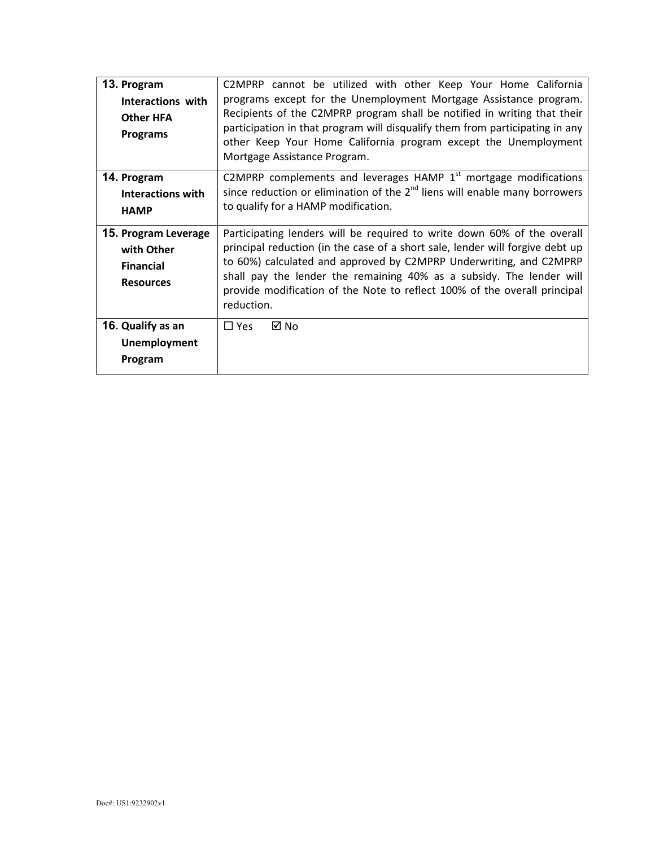| 13. Program<br>Interactions with<br><b>Other HFA</b><br><b>Programs</b>    | C2MPRP cannot be utilized with other Keep Your Home California<br>programs except for the Unemployment Mortgage Assistance program.<br>Recipients of the C2MPRP program shall be notified in writing that their<br>participation in that program will disqualify them from participating in any<br>other Keep Your Home California program except the Unemployment<br>Mortgage Assistance Program. |  |
|----------------------------------------------------------------------------|----------------------------------------------------------------------------------------------------------------------------------------------------------------------------------------------------------------------------------------------------------------------------------------------------------------------------------------------------------------------------------------------------|--|
| 14. Program<br>Interactions with<br><b>HAMP</b>                            | C2MPRP complements and leverages HAMP $1st$ mortgage modifications<br>since reduction or elimination of the $2nd$ liens will enable many borrowers<br>to qualify for a HAMP modification.                                                                                                                                                                                                          |  |
| 15. Program Leverage<br>with Other<br><b>Financial</b><br><b>Resources</b> | Participating lenders will be required to write down 60% of the overall<br>principal reduction (in the case of a short sale, lender will forgive debt up<br>to 60%) calculated and approved by C2MPRP Underwriting, and C2MPRP<br>shall pay the lender the remaining 40% as a subsidy. The lender will<br>provide modification of the Note to reflect 100% of the overall principal<br>reduction.  |  |
| 16. Qualify as an<br><b>Unemployment</b><br>Program                        | ⊠ No<br>$\Box$ Yes                                                                                                                                                                                                                                                                                                                                                                                 |  |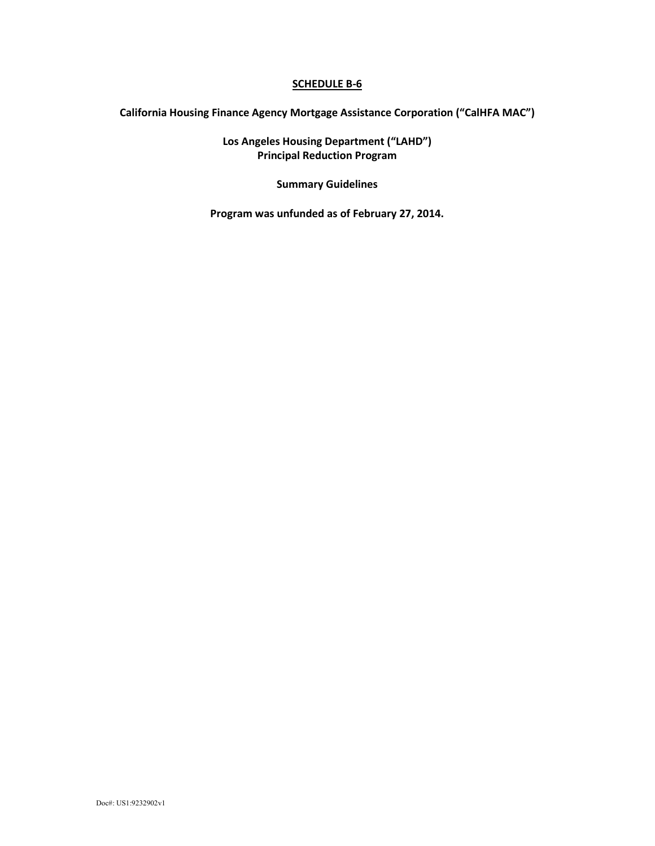## **California Housing Finance Agency Mortgage Assistance Corporation ("CalHFA MAC")**

**Los Angeles Housing Department ("LAHD") Principal Reduction Program**

**Summary Guidelines**

**Program was unfunded as of February 27, 2014.**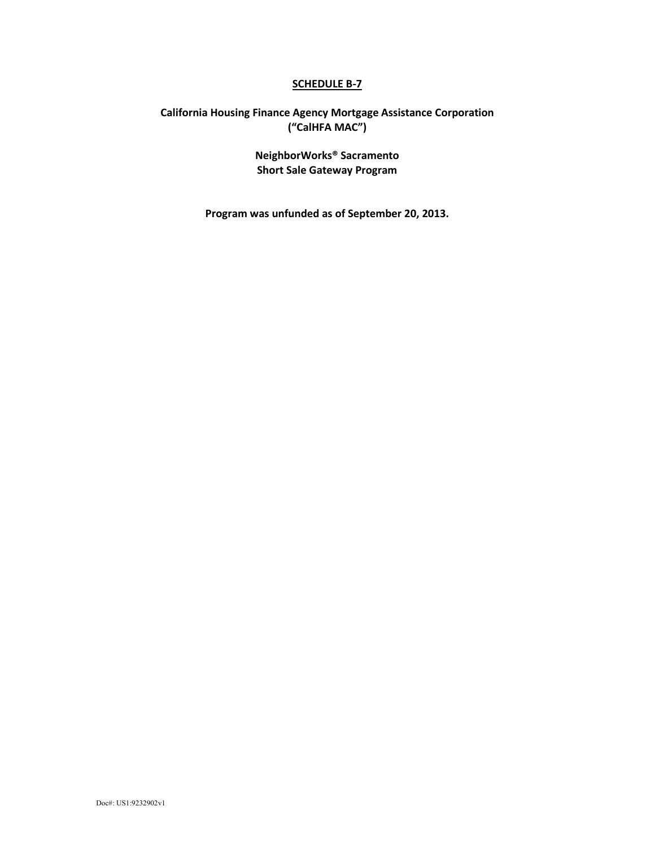## **California Housing Finance Agency Mortgage Assistance Corporation ("CalHFA MAC")**

**NeighborWorks® Sacramento Short Sale Gateway Program**

**Program was unfunded as of September 20, 2013.**